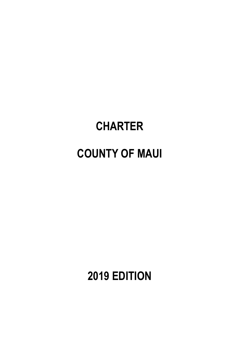# **CHARTER COUNTY OF MAUI**

**2019 EDITION**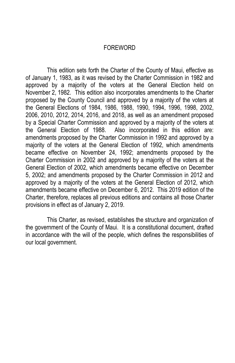#### FOREWORD

This edition sets forth the Charter of the County of Maui, effective as of January 1, 1983, as it was revised by the Charter Commission in 1982 and approved by a majority of the voters at the General Election held on November 2, 1982. This edition also incorporates amendments to the Charter proposed by the County Council and approved by a majority of the voters at the General Elections of 1984, 1986, 1988, 1990, 1994, 1996, 1998, 2002, 2006, 2010, 2012, 2014, 2016, and 2018, as well as an amendment proposed by a Special Charter Commission and approved by a majority of the voters at the General Election of 1988. Also incorporated in this edition are: amendments proposed by the Charter Commission in 1992 and approved by a majority of the voters at the General Election of 1992, which amendments became effective on November 24, 1992; amendments proposed by the Charter Commission in 2002 and approved by a majority of the voters at the General Election of 2002, which amendments became effective on December 5, 2002; and amendments proposed by the Charter Commission in 2012 and approved by a majority of the voters at the General Election of 2012, which amendments became effective on December 6, 2012. This 2019 edition of the Charter, therefore, replaces all previous editions and contains all those Charter provisions in effect as of January 2, 2019.

This Charter, as revised, establishes the structure and organization of the government of the County of Maui. It is a constitutional document, drafted in accordance with the will of the people, which defines the responsibilities of our local government.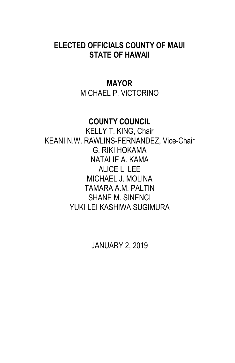# **ELECTED OFFICIALS COUNTY OF MAUI STATE OF HAWAII**

# **MAYOR** MICHAEL P. VICTORINO

# **COUNTY COUNCIL**

KELLY T. KING, Chair KEANI N.W. RAWLINS-FERNANDEZ, Vice-Chair G. RIKI HOKAMA NATALIE A. KAMA ALICE L. LEE MICHAEL J. MOLINA TAMARA A.M. PALTIN SHANE M. SINENCI YUKI LEI KASHIWA SUGIMURA

JANUARY 2, 2019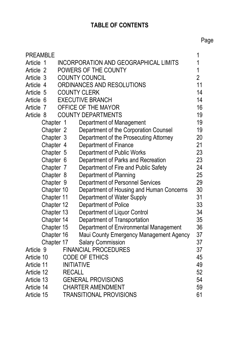# **TABLE OF CONTENTS**

| <b>PREAMBLE</b>                  |            |                   |                                              | 1              |
|----------------------------------|------------|-------------------|----------------------------------------------|----------------|
| Article 1                        |            |                   | <b>INCORPORATION AND GEOGRAPHICAL LIMITS</b> | 1              |
| Article 2                        |            |                   | POWERS OF THE COUNTY                         | 1              |
| Article 3                        |            |                   | <b>COUNTY COUNCIL</b>                        | $\overline{2}$ |
| Article 4                        |            |                   | ORDINANCES AND RESOLUTIONS                   | 11             |
| <b>COUNTY CLERK</b><br>Article 5 |            |                   | 14                                           |                |
| Article 6                        |            |                   | <b>EXECUTIVE BRANCH</b>                      | 14             |
| Article 7                        |            |                   | OFFICE OF THE MAYOR                          | 16             |
| Article 8                        |            |                   | <b>COUNTY DEPARTMENTS</b>                    | 19             |
|                                  | Chapter 1  |                   | Department of Management                     | 19             |
| Chapter 2                        |            |                   | Department of the Corporation Counsel        | 19             |
| Chapter 3                        |            |                   | Department of the Prosecuting Attorney       | 20             |
| Chapter 4                        |            |                   | Department of Finance                        | 21             |
| Chapter 5                        |            |                   | Department of Public Works                   | 23             |
| Chapter 6                        |            |                   | Department of Parks and Recreation           | 23             |
|                                  | Chapter 7  |                   | Department of Fire and Public Safety         | 24             |
|                                  | Chapter 8  |                   | Department of Planning                       | 25             |
|                                  | Chapter 9  |                   | Department of Personnel Services             | 29             |
|                                  | Chapter 10 |                   | Department of Housing and Human Concerns     | 30             |
|                                  | Chapter 11 |                   | Department of Water Supply                   | 31             |
|                                  | Chapter 12 |                   | Department of Police                         | 33             |
|                                  | Chapter 13 |                   | Department of Liquor Control                 | 34             |
|                                  | Chapter 14 |                   | Department of Transportation                 | 35             |
|                                  | Chapter 15 |                   | Department of Environmental Management       | 36             |
|                                  | Chapter 16 |                   | Maui County Emergency Management Agency      | 37             |
|                                  | Chapter 17 |                   | <b>Salary Commission</b>                     | 37             |
| Article 9                        |            |                   | <b>FINANCIAL PROCEDURES</b>                  | 37             |
| Article 10                       |            |                   | <b>CODE OF ETHICS</b>                        | 45             |
| Article 11                       |            | <b>INITIATIVE</b> |                                              | 49             |
| Article 12                       |            | <b>RECALL</b>     |                                              | 52             |
| Article 13                       |            |                   | <b>GENERAL PROVISIONS</b>                    | 54             |
| Article 14                       |            |                   | <b>CHARTER AMENDMENT</b>                     | 59             |
| Article 15                       |            |                   | <b>TRANSITIONAL PROVISIONS</b>               | 61             |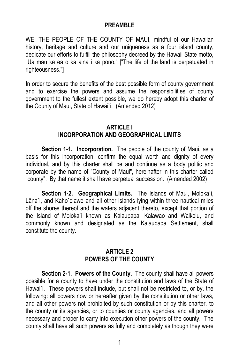#### **PREAMBLE**

WE, THE PEOPLE OF THE COUNTY OF MAUI, mindful of our Hawaiian history, heritage and culture and our uniqueness as a four island county, dedicate our efforts to fulfill the philosophy decreed by the Hawaii State motto, "Ua mau ke ea o ka aina i ka pono," ["The life of the land is perpetuated in righteousness."]

In order to secure the benefits of the best possible form of county government and to exercise the powers and assume the responsibilities of county government to the fullest extent possible, we do hereby adopt this charter of the County of Maui, State of Hawai`i. (Amended 2012)

## **ARTICLE I INCORPORATION AND GEOGRAPHICAL LIMITS**

**Section 1-1. Incorporation.** The people of the county of Maui, as a basis for this incorporation, confirm the equal worth and dignity of every individual, and by this charter shall be and continue as a body politic and corporate by the name of "County of Maui", hereinafter in this charter called "county". By that name it shall have perpetual succession. (Amended 2002)

**Section 1-2. Geographical Limits.** The Islands of Maui, Moloka`i, Lāna`i, and Kaho`olawe and all other islands lying within three nautical miles off the shores thereof and the waters adjacent thereto, except that portion of the Island of Moloka`i known as Kalaupapa, Kalawao and Waikolu, and commonly known and designated as the Kalaupapa Settlement, shall constitute the county.

#### **ARTICLE 2 POWERS OF THE COUNTY**

**Section 2-1. Powers of the County.** The county shall have all powers possible for a county to have under the constitution and laws of the State of Hawai<sup>'</sup>i. These powers shall include, but shall not be restricted to, or by, the following: all powers now or hereafter given by the constitution or other laws, and all other powers not prohibited by such constitution or by this charter, to the county or its agencies, or to counties or county agencies, and all powers necessary and proper to carry into execution other powers of the county. The county shall have all such powers as fully and completely as though they were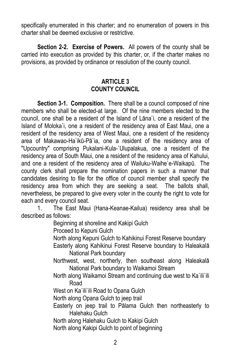specifically enumerated in this charter; and no enumeration of powers in this charter shall be deemed exclusive or restrictive.

**Section 2-2. Exercise of Powers.** All powers of the county shall be carried into execution as provided by this charter, or, if the charter makes no provisions, as provided by ordinance or resolution of the county council.

#### **ARTICLE 3 COUNTY COUNCIL**

**Section 3-1. Composition.** There shall be a council composed of nine members who shall be elected-at large. Of the nine members elected to the council, one shall be a resident of the Island of Lāna`i, one a resident of the Island of Moloka`i, one a resident of the residency area of East Maui, one a resident of the residency area of West Maui, one a resident of the residency area of Makawao-Ha`ikū-Pā`ia, one a resident of the residency area of "Upcountry" comprising Pukalani-Kula-`Ulupalakua, one a resident of the residency area of South Maui, one a resident of the residency area of Kahului, and one a resident of the residency area of Wailuku-Waihe`e-Waikapū. The county clerk shall prepare the nomination papers in such a manner that candidates desiring to file for the office of council member shall specify the residency area from which they are seeking a seat. The ballots shall, nevertheless, be prepared to give every voter in the county the right to vote for each and every council seat.

1. The East Maui (Hana-Keanae-Kailua) residency area shall be described as follows:

Beginning at shoreline and Kakipi Gulch

Proceed to Kepuni Gulch

North along Kepuni Gulch to Kahikinui Forest Reserve boundary

- Easterly along Kahikinui Forest Reserve boundary to Haleakalā National Park boundary
- Northwest, west, northerly, then southeast along Haleakalā National Park boundary to Waikamoi Stream
- North along Waikamoi Stream and continuing due west to Ka`ili`ili Road

West on Ka`ili`ili Road to Opana Gulch

North along Opana Gulch to jeep trail

Easterly on jeep trail to Pālama Gulch then northeasterly to Halehaku Gulch

North along Halehaku Gulch to Kakipi Gulch

North along Kakipi Gulch to point of beginning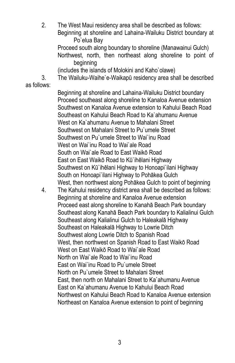2. The West Maui residency area shall be described as follows: Beginning at shoreline and Lahaina-Wailuku District boundary at Po`elua Bay Proceed south along boundary to shoreline (Manawainui Gulch) Northwest, north, then northeast along shoreline to point of beginning (includes the islands of Molokini and Kaho`olawe) 3. The Wailuku-Waihe`e-Waikapū residency area shall be described as follows: Beginning at shoreline and Lahaina-Wailuku District boundary Proceed southeast along shoreline to Kanaloa Avenue extension Southwest on Kanaloa Avenue extension to Kahului Beach Road Southeast on Kahului Beach Road to Ka`ahumanu Avenue West on Ka`ahumanu Avenue to Mahalani Street Southwest on Mahalani Street to Pu`umele Street Southwest on Pu`umele Street to Wai`inu Road West on Wai`inu Road to Wai`ale Road South on Wai`ale Road to East Waikō Road East on East Waikō Road to Kū`ihēlani Highway Southwest on Kū`ihēlani Highway to Honoapi`ilani Highway South on Honoapi`ilani Highway to Pohākea Gulch West, then northwest along Pohākea Gulch to point of beginning 4. The Kahului residency district area shall be described as follows: Beginning at shoreline and Kanaloa Avenue extension Proceed east along shoreline to Kanahā Beach Park boundary Southeast along Kanahā Beach Park boundary to Kalialinui Gulch Southeast along Kalialinui Gulch to Haleakalā Highway Southeast on Haleakalā Highway to Lowrie Ditch Southwest along Lowrie Ditch to Spanish Road West, then northwest on Spanish Road to East Waikō Road West on East Waikō Road to Wai`ale Road North on Wai`ale Road to Wai`inu Road East on Wai`inu Road to Pu`umele Street North on Pu`umele Street to Mahalani Street East, then north on Mahalani Street to Ka`ahumanu Avenue East on Ka`ahumanu Avenue to Kahului Beach Road Northwest on Kahului Beach Road to Kanaloa Avenue extension Northeast on Kanaloa Avenue extension to point of beginning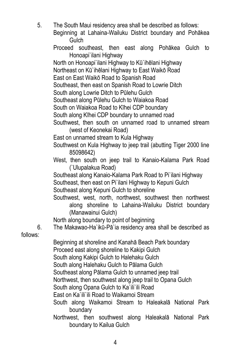5. The South Maui residency area shall be described as follows: Beginning at Lahaina-Wailuku District boundary and Pohākea Gulch Proceed southeast, then east along Pohākea Gulch to Honoapi`ilani Highway North on Honoapi`ilani Highway to Kū`ihēlani Highway Northeast on Kū`ihēlani Highway to East Waikō Road

East on East Waikō Road to Spanish Road

Southeast, then east on Spanish Road to Lowrie Ditch

South along Lowrie Ditch to Pūlehu Gulch

Southeast along Pūlehu Gulch to Waiakoa Road

South on Waiakoa Road to Kīhei CDP boundary

South along Kīhei CDP boundary to unnamed road

- Southwest, then south on unnamed road to unnamed stream (west of Keonekai Road)
- East on unnamed stream to Kula Highway
- Southwest on Kula Highway to jeep trail (abutting Tiger 2000 line 85098642)
- West, then south on jeep trail to Kanaio-Kalama Park Road (`Ulupalakua Road)

Southeast along Kanaio-Kalama Park Road to Pi`ilani Highway Southeast, then east on Pi`ilani Highway to Kepuni Gulch

Southeast along Kepuni Gulch to shoreline

Southwest, west, north, northwest, southwest then northwest along shoreline to Lahaina-Wailuku District boundary (Manawainui Gulch)

North along boundary to point of beginning

6. The Makawao-Ha`ikū-Pā`ia residency area shall be described as

follows:

Beginning at shoreline and Kanahā Beach Park boundary Proceed east along shoreline to Kakipi Gulch South along Kakipi Gulch to Halehaku Gulch South along Halehaku Gulch to Pālama Gulch Southeast along Pālama Gulch to unnamed jeep trail Northwest, then southwest along jeep trail to Opana Gulch South along Opana Gulch to Ka`ili`ili Road East on Ka`ili`ili Road to Waikamoi Stream South along Waikamoi Stream to Haleakalā National Park boundary

Northwest, then southwest along Haleakalā National Park boundary to Kailua Gulch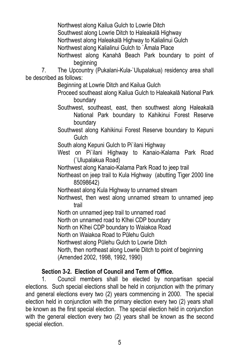Northwest along Kailua Gulch to Lowrie Ditch

Southwest along Lowrie Ditch to Haleakalā Highway

Northwest along Haleakalā Highway to Kalialinui Gulch

Northwest along Kalialinui Gulch to `Āmala Place

Northwest along Kanahā Beach Park boundary to point of beginning

7. The Upcountry (Pukalani-Kula-`Ulupalakua) residency area shall be described as follows:

Beginning at Lowrie Ditch and Kailua Gulch

Proceed southeast along Kailua Gulch to Haleakalā National Park boundary

Southwest, southeast, east, then southwest along Haleakalā National Park boundary to Kahikinui Forest Reserve boundary

Southwest along Kahikinui Forest Reserve boundary to Kepuni **Gulch** 

South along Kepuni Gulch to Pi`ilani Highway

West on Pi`ilani Highway to Kanaio-Kalama Park Road (`Ulupalakua Road)

Northwest along Kanaio-Kalama Park Road to jeep trail

Northeast on jeep trail to Kula Highway (abutting Tiger 2000 line 85098642)

Northeast along Kula Highway to unnamed stream

Northwest, then west along unnamed stream to unnamed jeep trail

North on unnamed jeep trail to unnamed road

North on unnamed road to Kīhei CDP boundary

North on Kīhei CDP boundary to Waiakoa Road

North on Waiakoa Road to Pūlehu Gulch

Northwest along Pūlehu Gulch to Lowrie Ditch

North, then northeast along Lowrie Ditch to point of beginning (Amended 2002, 1998, 1992, 1990)

# **Section 3-2. Election of Council and Term of Office.**

1. Council members shall be elected by nonpartisan special elections. Such special elections shall be held in conjunction with the primary and general elections every two (2) years commencing in 2000. The special election held in conjunction with the primary election every two (2) years shall be known as the first special election. The special election held in conjunction with the general election every two (2) years shall be known as the second special election.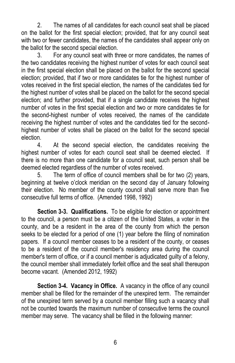2. The names of all candidates for each council seat shall be placed on the ballot for the first special election; provided, that for any council seat with two or fewer candidates, the names of the candidates shall appear only on the ballot for the second special election.

3. For any council seat with three or more candidates, the names of the two candidates receiving the highest number of votes for each council seat in the first special election shall be placed on the ballot for the second special election; provided, that if two or more candidates tie for the highest number of votes received in the first special election, the names of the candidates tied for the highest number of votes shall be placed on the ballot for the second special election; and further provided, that if a single candidate receives the highest number of votes in the first special election and two or more candidates tie for the second-highest number of votes received, the names of the candidate receiving the highest number of votes and the candidates tied for the secondhighest number of votes shall be placed on the ballot for the second special election.

4. At the second special election, the candidates receiving the highest number of votes for each council seat shall be deemed elected. If there is no more than one candidate for a council seat, such person shall be deemed elected regardless of the number of votes received.

5. The term of office of council members shall be for two (2) years, beginning at twelve o'clock meridian on the second day of January following their election. No member of the county council shall serve more than five consecutive full terms of office. (Amended 1998, 1992)

**Section 3-3. Qualifications.** To be eligible for election or appointment to the council, a person must be a citizen of the United States, a voter in the county, and be a resident in the area of the county from which the person seeks to be elected for a period of one (1) year before the filing of nomination papers. If a council member ceases to be a resident of the county, or ceases to be a resident of the council member's residency area during the council member's term of office, or if a council member is adjudicated guilty of a felony, the council member shall immediately forfeit office and the seat shall thereupon become vacant. (Amended 2012, 1992)

**Section 3-4. Vacancy in Office.** A vacancy in the office of any council member shall be filled for the remainder of the unexpired term. The remainder of the unexpired term served by a council member filling such a vacancy shall not be counted towards the maximum number of consecutive terms the council member may serve. The vacancy shall be filled in the following manner: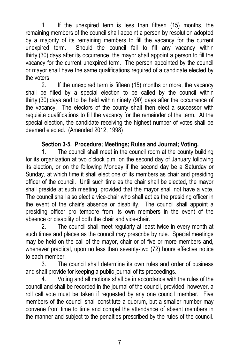1. If the unexpired term is less than fifteen (15) months, the remaining members of the council shall appoint a person by resolution adopted by a majority of its remaining members to fill the vacancy for the current unexpired term. Should the council fail to fill any vacancy within thirty (30) days after its occurrence, the mayor shall appoint a person to fill the vacancy for the current unexpired term. The person appointed by the council or mayor shall have the same qualifications required of a candidate elected by the voters.

2. If the unexpired term is fifteen (15) months or more, the vacancy shall be filled by a special election to be called by the council within thirty (30) days and to be held within ninety (90) days after the occurrence of the vacancy. The electors of the county shall then elect a successor with requisite qualifications to fill the vacancy for the remainder of the term. At the special election, the candidate receiving the highest number of votes shall be deemed elected. (Amended 2012, 1998)

#### **Section 3-5. Procedure; Meetings; Rules and Journal; Voting.**

1. The council shall meet in the council room at the county building for its organization at two o'clock p.m. on the second day of January following its election, or on the following Monday if the second day be a Saturday or Sunday, at which time it shall elect one of its members as chair and presiding officer of the council. Until such time as the chair shall be elected, the mayor shall preside at such meeting, provided that the mayor shall not have a vote. The council shall also elect a vice-chair who shall act as the presiding officer in the event of the chair's absence or disability. The council shall appoint a presiding officer pro tempore from its own members in the event of the absence or disability of both the chair and vice-chair.

2. The council shall meet regularly at least twice in every month at such times and places as the council may prescribe by rule. Special meetings may be held on the call of the mayor, chair or of five or more members and, whenever practical, upon no less than seventy-two (72) hours effective notice to each member.

3. The council shall determine its own rules and order of business and shall provide for keeping a public journal of its proceedings.

4. Voting and all motions shall be in accordance with the rules of the council and shall be recorded in the journal of the council, provided, however, a roll call vote must be taken if requested by any one council member. Five members of the council shall constitute a quorum, but a smaller number may convene from time to time and compel the attendance of absent members in the manner and subject to the penalties prescribed by the rules of the council.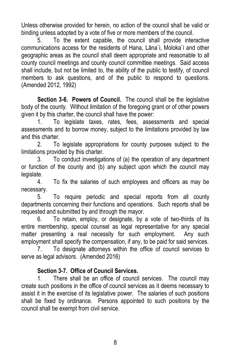Unless otherwise provided for herein, no action of the council shall be valid or binding unless adopted by a vote of five or more members of the council.

5. To the extent capable, the council shall provide interactive communications access for the residents of Hana, Lāna`i, Moloka`i and other geographic areas as the council shall deem appropriate and reasonable to all county council meetings and county council committee meetings. Said access shall include, but not be limited to, the ability of the public to testify, of council members to ask questions, and of the public to respond to questions. (Amended 2012, 1992)

**Section 3-6. Powers of Council.** The council shall be the legislative body of the county. Without limitation of the foregoing grant or of other powers given it by this charter, the council shall have the power:

1. To legislate taxes, rates, fees, assessments and special assessments and to borrow money, subject to the limitations provided by law and this charter.

2. To legislate appropriations for county purposes subject to the limitations provided by this charter.

3. To conduct investigations of (a) the operation of any department or function of the county and (b) any subject upon which the council may legislate.

4. To fix the salaries of such employees and officers as may be necessary.

5. To require periodic and special reports from all county departments concerning their functions and operations. Such reports shall be requested and submitted by and through the mayor.

6. To retain, employ, or designate, by a vote of two-thirds of its entire membership, special counsel as legal representative for any special matter presenting a real necessity for such employment. Any such employment shall specify the compensation, if any, to be paid for said services.

7. To designate attorneys within the office of council services to serve as legal advisors. (Amended 2016)

# **Section 3-7. Office of Council Services.**

1. There shall be an office of council services. The council may create such positions in the office of council services as it deems necessary to assist it in the exercise of its legislative power. The salaries of such positions shall be fixed by ordinance. Persons appointed to such positions by the council shall be exempt from civil service.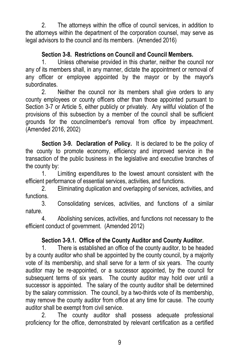2. The attorneys within the office of council services, in addition to the attorneys within the department of the corporation counsel, may serve as legal advisors to the council and its members. (Amended 2016)

# **Section 3-8. Restrictions on Council and Council Members.**

1. Unless otherwise provided in this charter, neither the council nor any of its members shall, in any manner, dictate the appointment or removal of any officer or employee appointed by the mayor or by the mayor's subordinates.

2. Neither the council nor its members shall give orders to any county employees or county officers other than those appointed pursuant to Section 3-7 or Article 5, either publicly or privately. Any willful violation of the provisions of this subsection by a member of the council shall be sufficient grounds for the councilmember's removal from office by impeachment. (Amended 2016, 2002)

**Section 3-9. Declaration of Policy.** It is declared to be the policy of the county to promote economy, efficiency and improved service in the transaction of the public business in the legislative and executive branches of the county by:

1. Limiting expenditures to the lowest amount consistent with the efficient performance of essential services, activities, and functions.

2. Eliminating duplication and overlapping of services, activities, and functions.

3. Consolidating services, activities, and functions of a similar nature.

4. Abolishing services, activities, and functions not necessary to the efficient conduct of government. (Amended 2012)

# **Section 3-9.1. Office of the County Auditor and County Auditor.**

1. There is established an office of the county auditor, to be headed by a county auditor who shall be appointed by the county council, by a majority vote of its membership, and shall serve for a term of six years. The county auditor may be re-appointed, or a successor appointed, by the council for subsequent terms of six years. The county auditor may hold over until a successor is appointed. The salary of the county auditor shall be determined by the salary commission. The council, by a two-thirds vote of its membership, may remove the county auditor from office at any time for cause. The county auditor shall be exempt from civil service.

2. The county auditor shall possess adequate professional proficiency for the office, demonstrated by relevant certification as a certified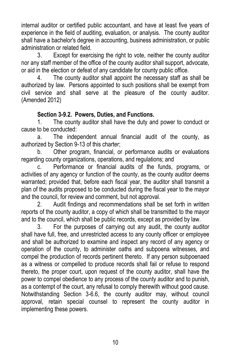internal auditor or certified public accountant, and have at least five years of experience in the field of auditing, evaluation, or analysis. The county auditor shall have a bachelor's degree in accounting, business administration, or public administration or related field.

3. Except for exercising the right to vote, neither the county auditor nor any staff member of the office of the county auditor shall support, advocate, or aid in the election or defeat of any candidate for county public office.

4. The county auditor shall appoint the necessary staff as shall be authorized by law. Persons appointed to such positions shall be exempt from civil service and shall serve at the pleasure of the county auditor. (Amended 2012)

#### **Section 3-9.2. Powers, Duties, and Functions.**

1. The county auditor shall have the duty and power to conduct or cause to be conducted:

a. The independent annual financial audit of the county, as authorized by Section 9-13 of this charter;

b. Other program, financial, or performance audits or evaluations regarding county organizations, operations, and regulations; and

c. Performance or financial audits of the funds, programs, or activities of any agency or function of the county, as the county auditor deems warranted; provided that, before each fiscal year, the auditor shall transmit a plan of the audits proposed to be conducted during the fiscal year to the mayor and the council, for review and comment, but not approval.

2. Audit findings and recommendations shall be set forth in written reports of the county auditor, a copy of which shall be transmitted to the mayor and to the council, which shall be public records, except as provided by law.

3. For the purposes of carrying out any audit, the county auditor shall have full, free, and unrestricted access to any county officer or employee and shall be authorized to examine and inspect any record of any agency or operation of the county, to administer oaths and subpoena witnesses, and compel the production of records pertinent thereto. If any person subpoenaed as a witness or compelled to produce records shall fail or refuse to respond thereto, the proper court, upon request of the county auditor, shall have the power to compel obedience to any process of the county auditor and to punish, as a contempt of the court, any refusal to comply therewith without good cause. Notwithstanding Section 3-6.6, the county auditor may, without council approval, retain special counsel to represent the county auditor in implementing these powers.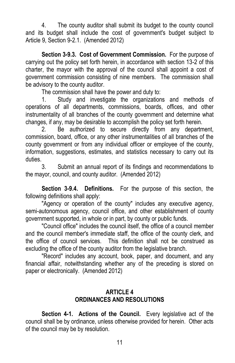4. The county auditor shall submit its budget to the county council and its budget shall include the cost of government's budget subject to Article 9, Section 9-2.1. (Amended 2012)

**Section 3-9.3. Cost of Government Commission.** For the purpose of carrying out the policy set forth herein, in accordance with section 13-2 of this charter, the mayor with the approval of the council shall appoint a cost of government commission consisting of nine members. The commission shall be advisory to the county auditor.

The commission shall have the power and duty to:

1. Study and investigate the organizations and methods of operations of all departments, commissions, boards, offices, and other instrumentality of all branches of the county government and determine what changes, if any, may be desirable to accomplish the policy set forth herein.

2. Be authorized to secure directly from any department, commission, board, office, or any other instrumentalities of all branches of the county government or from any individual officer or employee of the county, information, suggestions, estimates, and statistics necessary to carry out its duties.

3. Submit an annual report of its findings and recommendations to the mayor, council, and county auditor. (Amended 2012)

**Section 3-9.4. Definitions.** For the purpose of this section, the following definitions shall apply:

"Agency or operation of the county" includes any executive agency, semi-autonomous agency, council office, and other establishment of county government supported, in whole or in part, by county or public funds.

"Council office" includes the council itself, the office of a council member and the council member's immediate staff, the office of the county clerk, and the office of council services. This definition shall not be construed as excluding the office of the county auditor from the legislative branch.

"Record" includes any account, book, paper, and document, and any financial affair, notwithstanding whether any of the preceding is stored on paper or electronically. (Amended 2012)

#### **ARTICLE 4 ORDINANCES AND RESOLUTIONS**

**Section 4-1. Actions of the Council.** Every legislative act of the council shall be by ordinance, unless otherwise provided for herein. Other acts of the council may be by resolution.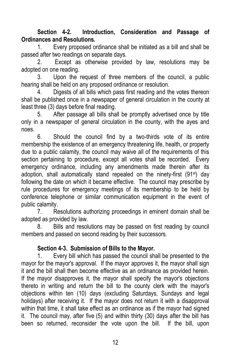**Section 4-2. Introduction, Consideration and Passage of Ordinances and Resolutions.**

1. Every proposed ordinance shall be initiated as a bill and shall be passed after two readings on separate days.

2. Except as otherwise provided by law, resolutions may be adopted on one reading.

3. Upon the request of three members of the council, a public hearing shall be held on any proposed ordinance or resolution.

4. Digests of all bills which pass first reading and the votes thereon shall be published once in a newspaper of general circulation in the county at least three (3) days before final reading.

5. After passage all bills shall be promptly advertised once by title only in a newspaper of general circulation in the county, with the ayes and noes.

6. Should the council find by a two-thirds vote of its entire membership the existence of an emergency threatening life, health, or property due to a public calamity, the council may waive all of the requirements of this section pertaining to procedure, except all votes shall be recorded. Every emergency ordinance, including any amendments made therein after its adoption, shall automatically stand repealed on the ninety-first (91st) day following the date on which it became effective. The council may prescribe by rule procedures for emergency meetings of its membership to be held by conference telephone or similar communication equipment in the event of public calamity.

7. Resolutions authorizing proceedings in eminent domain shall be adopted as provided by law.

8. Bills and resolutions may be passed on first reading by council members and passed on second reading by their successors.

# **Section 4-3. Submission of Bills to the Mayor.**

1. Every bill which has passed the council shall be presented to the mayor for the mayor's approval. If the mayor approves it, the mayor shall sign it and the bill shall then become effective as an ordinance as provided herein. If the mayor disapproves it, the mayor shall specify the mayor's objections thereto in writing and return the bill to the county clerk with the mayor's objections within ten (10) days (excluding Saturdays, Sundays and legal holidays) after receiving it. If the mayor does not return it with a disapproval within that time, it shall take effect as an ordinance as if the mayor had signed it. The council may, after five (5) and within thirty (30) days after the bill has been so returned, reconsider the vote upon the bill. If the bill, upon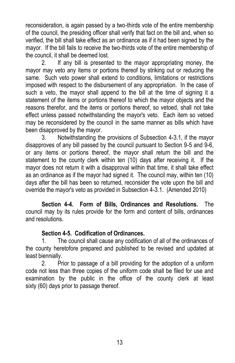reconsideration, is again passed by a two-thirds vote of the entire membership of the council, the presiding officer shall verify that fact on the bill and, when so verified, the bill shall take effect as an ordinance as if it had been signed by the mayor. If the bill fails to receive the two-thirds vote of the entire membership of the council, it shall be deemed lost.

2. If any bill is presented to the mayor appropriating money, the mayor may veto any items or portions thereof by striking out or reducing the same. Such veto power shall extend to conditions, limitations or restrictions imposed with respect to the disbursement of any appropriation. In the case of such a veto, the mayor shall append to the bill at the time of signing it a statement of the items or portions thereof to which the mayor objects and the reasons therefor, and the items or portions thereof, so vetoed, shall not take effect unless passed notwithstanding the mayor's veto. Each item so vetoed may be reconsidered by the council in the same manner as bills which have been disapproved by the mayor.

3. Notwithstanding the provisions of Subsection 4-3.1, if the mayor disapproves of any bill passed by the council pursuant to Section 9-5 and 9-6, or any items or portions thereof, the mayor shall return the bill and the statement to the county clerk within ten (10) days after receiving it. If the mayor does not return it with a disapproval within that time, it shall take effect as an ordinance as if the mayor had signed it. The council may, within ten (10) days after the bill has been so returned, reconsider the vote upon the bill and override the mayor's veto as provided in Subsection 4-3.1. (Amended 2010)

**Section 4-4. Form of Bills, Ordinances and Resolutions.** The council may by its rules provide for the form and content of bills, ordinances and resolutions.

#### **Section 4-5. Codification of Ordinances.**

1. The council shall cause any codification of all of the ordinances of the county heretofore prepared and published to be revised and updated at least biennially.

2. Prior to passage of a bill providing for the adoption of a uniform code not less than three copies of the uniform code shall be filed for use and examination by the public in the office of the county clerk at least sixty (60) days prior to passage thereof.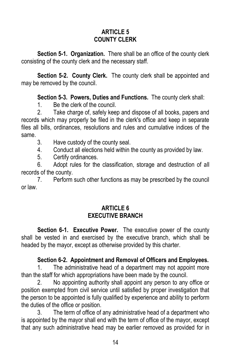# **ARTICLE 5 COUNTY CLERK**

**Section 5-1. Organization.** There shall be an office of the county clerk consisting of the county clerk and the necessary staff.

**Section 5-2. County Clerk.** The county clerk shall be appointed and may be removed by the council.

**Section 5-3. Powers, Duties and Functions.** The county clerk shall:

1. Be the clerk of the council.

2. Take charge of, safely keep and dispose of all books, papers and records which may properly be filed in the clerk's office and keep in separate files all bills, ordinances, resolutions and rules and cumulative indices of the same.

3. Have custody of the county seal.

4. Conduct all elections held within the county as provided by law.

5. Certify ordinances.

6. Adopt rules for the classification, storage and destruction of all records of the county.

7. Perform such other functions as may be prescribed by the council or law.

# **ARTICLE 6 EXECUTIVE BRANCH**

**Section 6-1. Executive Power.** The executive power of the county shall be vested in and exercised by the executive branch, which shall be headed by the mayor, except as otherwise provided by this charter.

# **Section 6-2. Appointment and Removal of Officers and Employees.**

1. The administrative head of a department may not appoint more than the staff for which appropriations have been made by the council.

2. No appointing authority shall appoint any person to any office or position exempted from civil service until satisfied by proper investigation that the person to be appointed is fully qualified by experience and ability to perform the duties of the office or position.

3. The term of office of any administrative head of a department who is appointed by the mayor shall end with the term of office of the mayor, except that any such administrative head may be earlier removed as provided for in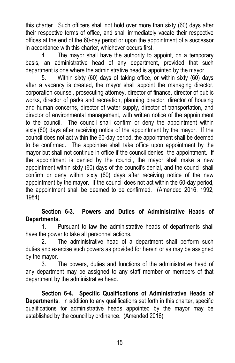this charter. Such officers shall not hold over more than sixty (60) days after their respective terms of office, and shall immediately vacate their respective offices at the end of the 60-day period or upon the appointment of a successor in accordance with this charter, whichever occurs first.

4. The mayor shall have the authority to appoint, on a temporary basis, an administrative head of any department, provided that such department is one where the administrative head is appointed by the mayor.

5. Within sixty (60) days of taking office, or within sixty (60) days after a vacancy is created, the mayor shall appoint the managing director, corporation counsel, prosecuting attorney, director of finance, director of public works, director of parks and recreation, planning director, director of housing and human concerns, director of water supply, director of transportation, and director of environmental management, with written notice of the appointment to the council. The council shall confirm or deny the appointment within sixty (60) days after receiving notice of the appointment by the mayor. If the council does not act within the 60-day period, the appointment shall be deemed to be confirmed. The appointee shall take office upon appointment by the mayor but shall not continue in office if the council denies the appointment. If the appointment is denied by the council, the mayor shall make a new appointment within sixty (60) days of the council's denial, and the council shall confirm or deny within sixty (60) days after receiving notice of the new appointment by the mayor. If the council does not act within the 60-day period, the appointment shall be deemed to be confirmed. (Amended 2016, 1992, 1984)

#### **Section 6-3. Powers and Duties of Administrative Heads of Departments.**

1. Pursuant to law the administrative heads of departments shall have the power to take all personnel actions.

2. The administrative head of a department shall perform such duties and exercise such powers as provided for herein or as may be assigned by the mayor.

3. The powers, duties and functions of the administrative head of any department may be assigned to any staff member or members of that department by the administrative head.

**Section 6-4. Specific Qualifications of Administrative Heads of Departments**. In addition to any qualifications set forth in this charter, specific qualifications for administrative heads appointed by the mayor may be established by the council by ordinance. (Amended 2016)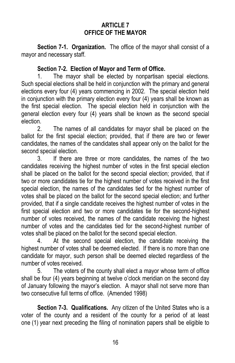## **ARTICLE 7 OFFICE OF THE MAYOR**

**Section 7-1. Organization.** The office of the mayor shall consist of a mayor and necessary staff.

#### **Section 7-2. Election of Mayor and Term of Office.**

1. The mayor shall be elected by nonpartisan special elections. Such special elections shall be held in conjunction with the primary and general elections every four (4) years commencing in 2002. The special election held in conjunction with the primary election every four (4) years shall be known as the first special election. The special election held in conjunction with the general election every four (4) years shall be known as the second special election.

2. The names of all candidates for mayor shall be placed on the ballot for the first special election; provided, that if there are two or fewer candidates, the names of the candidates shall appear only on the ballot for the second special election.

3. If there are three or more candidates, the names of the two candidates receiving the highest number of votes in the first special election shall be placed on the ballot for the second special election; provided, that if two or more candidates tie for the highest number of votes received in the first special election, the names of the candidates tied for the highest number of votes shall be placed on the ballot for the second special election; and further provided, that if a single candidate receives the highest number of votes in the first special election and two or more candidates tie for the second-highest number of votes received, the names of the candidate receiving the highest number of votes and the candidates tied for the second-highest number of votes shall be placed on the ballot for the second special election.

4. At the second special election, the candidate receiving the highest number of votes shall be deemed elected. If there is no more than one candidate for mayor, such person shall be deemed elected regardless of the number of votes received.

5. The voters of the county shall elect a mayor whose term of office shall be four (4) years beginning at twelve o'clock meridian on the second day of January following the mayor's election. A mayor shall not serve more than two consecutive full terms of office. (Amended 1998)

**Section 7-3. Qualifications.** Any citizen of the United States who is a voter of the county and a resident of the county for a period of at least one (1) year next preceding the filing of nomination papers shall be eligible to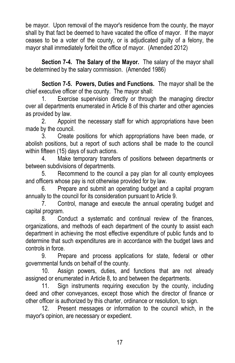be mayor. Upon removal of the mayor's residence from the county, the mayor shall by that fact be deemed to have vacated the office of mayor. If the mayor ceases to be a voter of the county, or is adjudicated guilty of a felony, the mayor shall immediately forfeit the office of mayor. (Amended 2012)

**Section 7-4. The Salary of the Mayor.** The salary of the mayor shall be determined by the salary commission. (Amended 1986)

**Section 7-5. Powers, Duties and Functions.** The mayor shall be the chief executive officer of the county. The mayor shall:

1. Exercise supervision directly or through the managing director over all departments enumerated in Article 8 of this charter and other agencies as provided by law.

2. Appoint the necessary staff for which appropriations have been made by the council.

3. Create positions for which appropriations have been made, or abolish positions, but a report of such actions shall be made to the council within fifteen (15) days of such actions.

4. Make temporary transfers of positions between departments or between subdivisions of departments.

5. Recommend to the council a pay plan for all county employees and officers whose pay is not otherwise provided for by law.

6. Prepare and submit an operating budget and a capital program annually to the council for its consideration pursuant to Article 9.

7. Control, manage and execute the annual operating budget and capital program.

8. Conduct a systematic and continual review of the finances, organizations, and methods of each department of the county to assist each department in achieving the most effective expenditure of public funds and to determine that such expenditures are in accordance with the budget laws and controls in force.

9. Prepare and process applications for state, federal or other governmental funds on behalf of the county.

10. Assign powers, duties, and functions that are not already assigned or enumerated in Article 8, to and between the departments.

11. Sign instruments requiring execution by the county, including deed and other conveyances, except those which the director of finance or other officer is authorized by this charter, ordinance or resolution, to sign.

12. Present messages or information to the council which, in the mayor's opinion, are necessary or expedient.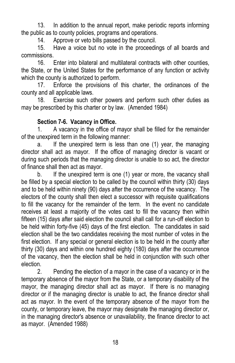13. In addition to the annual report, make periodic reports informing the public as to county policies, programs and operations.

14. Approve or veto bills passed by the council.

15. Have a voice but no vote in the proceedings of all boards and commissions.

16. Enter into bilateral and multilateral contracts with other counties, the State, or the United States for the performance of any function or activity which the county is authorized to perform.

17. Enforce the provisions of this charter, the ordinances of the county and all applicable laws.

18. Exercise such other powers and perform such other duties as may be prescribed by this charter or by law. (Amended 1984)

# **Section 7-6. Vacancy in Office.**

1. A vacancy in the office of mayor shall be filled for the remainder of the unexpired term in the following manner:

a. If the unexpired term is less than one (1) year, the managing director shall act as mayor. If the office of managing director is vacant or during such periods that the managing director is unable to so act, the director of finance shall then act as mayor.

b. If the unexpired term is one (1) year or more, the vacancy shall be filled by a special election to be called by the council within thirty (30) days and to be held within ninety (90) days after the occurrence of the vacancy. The electors of the county shall then elect a successor with requisite qualifications to fill the vacancy for the remainder of the term. In the event no candidate receives at least a majority of the votes cast to fill the vacancy then within fifteen (15) days after said election the council shall call for a run-off election to be held within forty-five (45) days of the first election. The candidates in said election shall be the two candidates receiving the most number of votes in the first election. If any special or general election is to be held in the county after thirty (30) days and within one hundred eighty (180) days after the occurrence of the vacancy, then the election shall be held in conjunction with such other election.

2. Pending the election of a mayor in the case of a vacancy or in the temporary absence of the mayor from the State, or a temporary disability of the mayor, the managing director shall act as mayor. If there is no managing director or if the managing director is unable to act, the finance director shall act as mayor. In the event of the temporary absence of the mayor from the county, or temporary leave, the mayor may designate the managing director or, in the managing director's absence or unavailability, the finance director to act as mayor. (Amended 1988)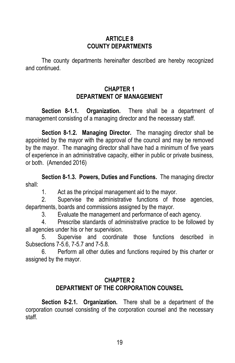#### **ARTICLE 8 COUNTY DEPARTMENTS**

The county departments hereinafter described are hereby recognized and continued.

## **CHAPTER 1 DEPARTMENT OF MANAGEMENT**

**Section 8-1.1. Organization.** There shall be a department of management consisting of a managing director and the necessary staff.

**Section 8-1.2. Managing Director.** The managing director shall be appointed by the mayor with the approval of the council and may be removed by the mayor. The managing director shall have had a minimum of five years of experience in an administrative capacity, either in public or private business, or both. (Amended 2016)

**Section 8-1.3. Powers, Duties and Functions.** The managing director shall:

1. Act as the principal management aid to the mayor.

2. Supervise the administrative functions of those agencies, departments, boards and commissions assigned by the mayor.

3. Evaluate the management and performance of each agency.

4. Prescribe standards of administrative practice to be followed by all agencies under his or her supervision.

5. Supervise and coordinate those functions described in Subsections 7-5.6, 7-5.7 and 7-5.8.

6. Perform all other duties and functions required by this charter or assigned by the mayor.

# **CHAPTER 2 DEPARTMENT OF THE CORPORATION COUNSEL**

**Section 8-2.1. Organization.** There shall be a department of the corporation counsel consisting of the corporation counsel and the necessary staff.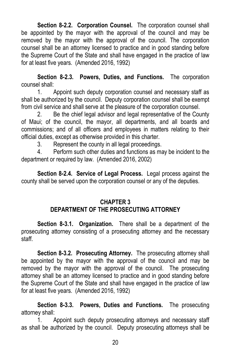**Section 8-2.2. Corporation Counsel.** The corporation counsel shall be appointed by the mayor with the approval of the council and may be removed by the mayor with the approval of the council. The corporation counsel shall be an attorney licensed to practice and in good standing before the Supreme Court of the State and shall have engaged in the practice of law for at least five years. (Amended 2016, 1992)

**Section 8-2.3. Powers, Duties, and Functions.** The corporation counsel shall:

1. Appoint such deputy corporation counsel and necessary staff as shall be authorized by the council. Deputy corporation counsel shall be exempt from civil service and shall serve at the pleasure of the corporation counsel.

2. Be the chief legal advisor and legal representative of the County of Maui; of the council, the mayor, all departments, and all boards and commissions; and of all officers and employees in matters relating to their official duties, except as otherwise provided in this charter.

3. Represent the county in all legal proceedings.

4. Perform such other duties and functions as may be incident to the department or required by law. (Amended 2016, 2002)

**Section 8-2.4. Service of Legal Process.** Legal process against the county shall be served upon the corporation counsel or any of the deputies.

# **CHAPTER 3 DEPARTMENT OF THE PROSECUTING ATTORNEY**

**Section 8-3.1. Organization.** There shall be a department of the prosecuting attorney consisting of a prosecuting attorney and the necessary staff.

**Section 8-3.2. Prosecuting Attorney.** The prosecuting attorney shall be appointed by the mayor with the approval of the council and may be removed by the mayor with the approval of the council. The prosecuting attorney shall be an attorney licensed to practice and in good standing before the Supreme Court of the State and shall have engaged in the practice of law for at least five years. (Amended 2016, 1992)

**Section 8-3.3. Powers, Duties and Functions.** The prosecuting attorney shall:

1. Appoint such deputy prosecuting attorneys and necessary staff as shall be authorized by the council. Deputy prosecuting attorneys shall be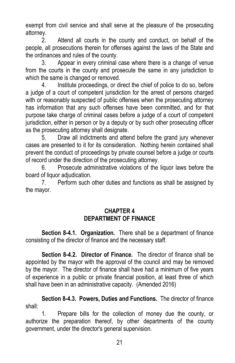exempt from civil service and shall serve at the pleasure of the prosecuting attorney.

2. Attend all courts in the county and conduct, on behalf of the people, all prosecutions therein for offenses against the laws of the State and the ordinances and rules of the county.

3. Appear in every criminal case where there is a change of venue from the courts in the county and prosecute the same in any jurisdiction to which the same is changed or removed.

4. Institute proceedings, or direct the chief of police to do so, before a judge of a court of competent jurisdiction for the arrest of persons charged with or reasonably suspected of public offenses when the prosecuting attorney has information that any such offenses have been committed, and for that purpose take charge of criminal cases before a judge of a court of competent jurisdiction, either in person or by a deputy or by such other prosecuting officer as the prosecuting attorney shall designate.

5. Draw all indictments and attend before the grand jury whenever cases are presented to it for its consideration. Nothing herein contained shall prevent the conduct of proceedings by private counsel before a judge or courts of record under the direction of the prosecuting attorney.

6. Prosecute administrative violations of the liquor laws before the board of liquor adjudication.

7. Perform such other duties and functions as shall be assigned by the mayor.

# **CHAPTER 4 DEPARTMENT OF FINANCE**

**Section 8-4.1. Organization.** There shall be a department of finance consisting of the director of finance and the necessary staff.

**Section 8-4.2. Director of Finance.** The director of finance shall be appointed by the mayor with the approval of the council and may be removed by the mayor. The director of finance shall have had a minimum of five years of experience in a public or private financial position, at least three of which shall have been in an administrative capacity. (Amended 2016)

**Section 8-4.3. Powers, Duties and Functions.** The director of finance shall:

1. Prepare bills for the collection of money due the county, or authorize the preparation thereof, by other departments of the county government, under the director's general supervision.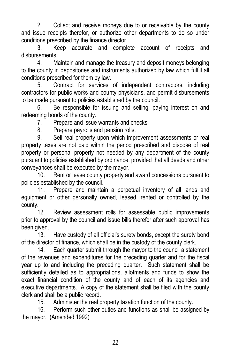2. Collect and receive moneys due to or receivable by the county and issue receipts therefor, or authorize other departments to do so under conditions prescribed by the finance director.

3. Keep accurate and complete account of receipts and disbursements.

4. Maintain and manage the treasury and deposit moneys belonging to the county in depositories and instruments authorized by law which fulfill all conditions prescribed for them by law.

5. Contract for services of independent contractors, including contractors for public works and county physicians, and permit disbursements to be made pursuant to policies established by the council.

6. Be responsible for issuing and selling, paying interest on and redeeming bonds of the county.

7. Prepare and issue warrants and checks.

8. Prepare payrolls and pension rolls.

9. Sell real property upon which improvement assessments or real property taxes are not paid within the period prescribed and dispose of real property or personal property not needed by any department of the county pursuant to policies established by ordinance, provided that all deeds and other conveyances shall be executed by the mayor.

10. Rent or lease county property and award concessions pursuant to policies established by the council.

11. Prepare and maintain a perpetual inventory of all lands and equipment or other personally owned, leased, rented or controlled by the county.

12. Review assessment rolls for assessable public improvements prior to approval by the council and issue bills therefor after such approval has been given.

13. Have custody of all official's surety bonds, except the surety bond of the director of finance, which shall be in the custody of the county clerk.

14. Each quarter submit through the mayor to the council a statement of the revenues and expenditures for the preceding quarter and for the fiscal year up to and including the preceding quarter. Such statement shall be sufficiently detailed as to appropriations, allotments and funds to show the exact financial condition of the county and of each of its agencies and executive departments. A copy of the statement shall be filed with the county clerk and shall be a public record.

15. Administer the real property taxation function of the county.

16. Perform such other duties and functions as shall be assigned by the mayor. (Amended 1992)

22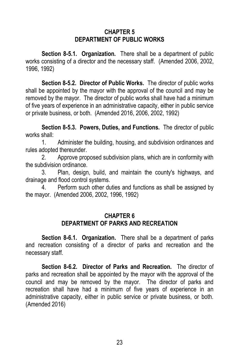#### **CHAPTER 5 DEPARTMENT OF PUBLIC WORKS**

**Section 8-5.1. Organization.** There shall be a department of public works consisting of a director and the necessary staff. (Amended 2006, 2002, 1996, 1992)

**Section 8-5.2. Director of Public Works.** The director of public works shall be appointed by the mayor with the approval of the council and may be removed by the mayor. The director of public works shall have had a minimum of five years of experience in an administrative capacity, either in public service or private business, or both. (Amended 2016, 2006, 2002, 1992)

**Section 8-5.3. Powers, Duties, and Functions.** The director of public works shall:

1. Administer the building, housing, and subdivision ordinances and rules adopted thereunder.

2. Approve proposed subdivision plans, which are in conformity with the subdivision ordinance.

3. Plan, design, build, and maintain the county's highways, and drainage and flood control systems.

4. Perform such other duties and functions as shall be assigned by the mayor. (Amended 2006, 2002, 1996, 1992)

#### **CHAPTER 6 DEPARTMENT OF PARKS AND RECREATION**

**Section 8-6.1. Organization.** There shall be a department of parks and recreation consisting of a director of parks and recreation and the necessary staff.

**Section 8-6.2. Director of Parks and Recreation.** The director of parks and recreation shall be appointed by the mayor with the approval of the council and may be removed by the mayor. The director of parks and recreation shall have had a minimum of five years of experience in an administrative capacity, either in public service or private business, or both. (Amended 2016)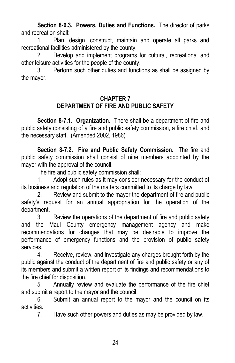**Section 8-6.3. Powers, Duties and Functions.** The director of parks and recreation shall:

1. Plan, design, construct, maintain and operate all parks and recreational facilities administered by the county.

2. Develop and implement programs for cultural, recreational and other leisure activities for the people of the county.

3. Perform such other duties and functions as shall be assigned by the mayor.

#### **CHAPTER 7 DEPARTMENT OF FIRE AND PUBLIC SAFETY**

**Section 8-7.1. Organization.** There shall be a department of fire and public safety consisting of a fire and public safety commission, a fire chief, and the necessary staff. (Amended 2002, 1986)

**Section 8-7.2. Fire and Public Safety Commission.** The fire and public safety commission shall consist of nine members appointed by the mayor with the approval of the council.

The fire and public safety commission shall:

1. Adopt such rules as it may consider necessary for the conduct of its business and regulation of the matters committed to its charge by law.

2. Review and submit to the mayor the department of fire and public safety's request for an annual appropriation for the operation of the department.

3. Review the operations of the department of fire and public safety and the Maui County emergency management agency and make recommendations for changes that may be desirable to improve the performance of emergency functions and the provision of public safety services.

4. Receive, review, and investigate any charges brought forth by the public against the conduct of the department of fire and public safety or any of its members and submit a written report of its findings and recommendations to the fire chief for disposition.

5. Annually review and evaluate the performance of the fire chief and submit a report to the mayor and the council.

6. Submit an annual report to the mayor and the council on its activities.

7. Have such other powers and duties as may be provided by law.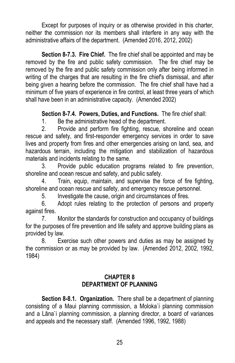Except for purposes of inquiry or as otherwise provided in this charter, neither the commission nor its members shall interfere in any way with the administrative affairs of the department. (Amended 2016, 2012, 2002)

**Section 8-7.3. Fire Chief.** The fire chief shall be appointed and may be removed by the fire and public safety commission. The fire chief may be removed by the fire and public safety commission only after being informed in writing of the charges that are resulting in the fire chief's dismissal, and after being given a hearing before the commission. The fire chief shall have had a minimum of five years of experience in fire control, at least three years of which shall have been in an administrative capacity. (Amended 2002)

**Section 8-7.4. Powers, Duties, and Functions.** The fire chief shall:

1. Be the administrative head of the department.

2. Provide and perform fire fighting, rescue, shoreline and ocean rescue and safety, and first-responder emergency services in order to save lives and property from fires and other emergencies arising on land, sea, and hazardous terrain, including the mitigation and stabilization of hazardous materials and incidents relating to the same.

3. Provide public education programs related to fire prevention, shoreline and ocean rescue and safety, and public safety.

4. Train, equip, maintain, and supervise the force of fire fighting, shoreline and ocean rescue and safety, and emergency rescue personnel.

5. Investigate the cause, origin and circumstances of fires.

6. Adopt rules relating to the protection of persons and property against fires.

7. Monitor the standards for construction and occupancy of buildings for the purposes of fire prevention and life safety and approve building plans as provided by law.

8. Exercise such other powers and duties as may be assigned by the commission or as may be provided by law. (Amended 2012, 2002, 1992, 1984)

# **CHAPTER 8 DEPARTMENT OF PLANNING**

**Section 8-8.1. Organization.** There shall be a department of planning consisting of a Maui planning commission, a Moloka`i planning commission and a Lāna`i planning commission, a planning director, a board of variances and appeals and the necessary staff. (Amended 1996, 1992, 1988)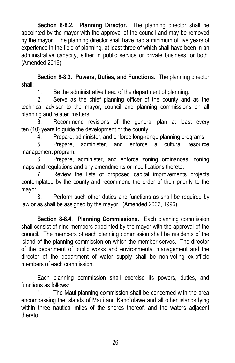**Section 8-8.2. Planning Director.** The planning director shall be appointed by the mayor with the approval of the council and may be removed by the mayor. The planning director shall have had a minimum of five years of experience in the field of planning, at least three of which shall have been in an administrative capacity, either in public service or private business, or both. (Amended 2016)

**Section 8-8.3. Powers, Duties, and Functions.** The planning director shall:

1. Be the administrative head of the department of planning.

2. Serve as the chief planning officer of the county and as the technical advisor to the mayor, council and planning commissions on all planning and related matters.

3. Recommend revisions of the general plan at least every ten (10) years to guide the development of the county.

4. Prepare, administer, and enforce long-range planning programs.

5. Prepare, administer, and enforce a cultural resource management program.

6. Prepare, administer, and enforce zoning ordinances, zoning maps and regulations and any amendments or modifications thereto.

7. Review the lists of proposed capital improvements projects contemplated by the county and recommend the order of their priority to the mayor.

8. Perform such other duties and functions as shall be required by law or as shall be assigned by the mayor. (Amended 2002, 1996)

**Section 8-8.4. Planning Commissions.** Each planning commission shall consist of nine members appointed by the mayor with the approval of the council. The members of each planning commission shall be residents of the island of the planning commission on which the member serves. The director of the department of public works and environmental management and the director of the department of water supply shall be non-voting ex-officio members of each commission.

Each planning commission shall exercise its powers, duties, and functions as follows:

1. The Maui planning commission shall be concerned with the area encompassing the islands of Maui and Kaho`olawe and all other islands lying within three nautical miles of the shores thereof, and the waters adjacent thereto.

26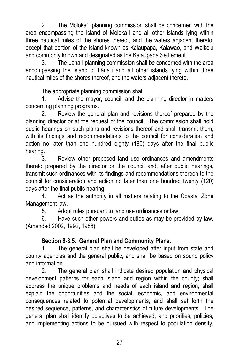2. The Moloka`i planning commission shall be concerned with the area encompassing the island of Moloka`i and all other islands lying within three nautical miles of the shores thereof, and the waters adjacent thereto, except that portion of the island known as Kalaupapa, Kalawao, and Waikolu and commonly known and designated as the Kalaupapa Settlement.

3. The Lāna`i planning commission shall be concerned with the area encompassing the island of Lāna`i and all other islands lying within three nautical miles of the shores thereof, and the waters adjacent thereto.

The appropriate planning commission shall:

1. Advise the mayor, council, and the planning director in matters concerning planning programs.

2. Review the general plan and revisions thereof prepared by the planning director or at the request of the council. The commission shall hold public hearings on such plans and revisions thereof and shall transmit them, with its findings and recommendations to the council for consideration and action no later than one hundred eighty (180) days after the final public hearing.

3. Review other proposed land use ordinances and amendments thereto prepared by the director or the council and, after public hearings, transmit such ordinances with its findings and recommendations thereon to the council for consideration and action no later than one hundred twenty (120) days after the final public hearing.

4. Act as the authority in all matters relating to the Coastal Zone Management law.

5. Adopt rules pursuant to land use ordinances or law.

6. Have such other powers and duties as may be provided by law. (Amended 2002, 1992, 1988)

# **Section 8-8.5. General Plan and Community Plans.**

1. The general plan shall be developed after input from state and county agencies and the general public, and shall be based on sound policy and information.

2. The general plan shall indicate desired population and physical development patterns for each island and region within the county; shall address the unique problems and needs of each island and region; shall explain the opportunities and the social, economic, and environmental consequences related to potential developments; and shall set forth the desired sequence, patterns, and characteristics of future developments. The general plan shall identify objectives to be achieved, and priorities, policies, and implementing actions to be pursued with respect to population density,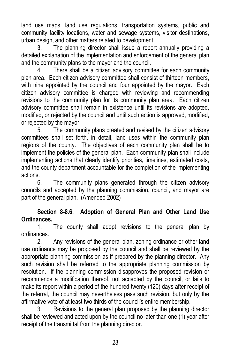land use maps, land use regulations, transportation systems, public and community facility locations, water and sewage systems, visitor destinations, urban design, and other matters related to development.

3. The planning director shall issue a report annually providing a detailed explanation of the implementation and enforcement of the general plan and the community plans to the mayor and the council.

4. There shall be a citizen advisory committee for each community plan area. Each citizen advisory committee shall consist of thirteen members, with nine appointed by the council and four appointed by the mayor. Each citizen advisory committee is charged with reviewing and recommending revisions to the community plan for its community plan area. Each citizen advisory committee shall remain in existence until its revisions are adopted, modified, or rejected by the council and until such action is approved, modified, or rejected by the mayor.

5. The community plans created and revised by the citizen advisory committees shall set forth, in detail, land uses within the community plan regions of the county. The objectives of each community plan shall be to implement the policies of the general plan. Each community plan shall include implementing actions that clearly identify priorities, timelines, estimated costs, and the county department accountable for the completion of the implementing actions.

6. The community plans generated through the citizen advisory councils and accepted by the planning commission, council, and mayor are part of the general plan. (Amended 2002)

# **Section 8-8.6. Adoption of General Plan and Other Land Use Ordinances.**

1. The county shall adopt revisions to the general plan by ordinances.

2. Any revisions of the general plan, zoning ordinance or other land use ordinance may be proposed by the council and shall be reviewed by the appropriate planning commission as if prepared by the planning director. Any such revision shall be referred to the appropriate planning commission by resolution. If the planning commission disapproves the proposed revision or recommends a modification thereof, not accepted by the council, or fails to make its report within a period of the hundred twenty (120) days after receipt of the referral, the council may nevertheless pass such revision, but only by the affirmative vote of at least two thirds of the council's entire membership.

3. Revisions to the general plan proposed by the planning director shall be reviewed and acted upon by the council no later than one (1) year after receipt of the transmittal from the planning director.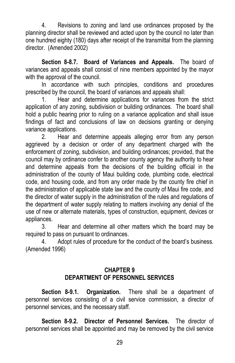4. Revisions to zoning and land use ordinances proposed by the planning director shall be reviewed and acted upon by the council no later than one hundred eighty (180) days after receipt of the transmittal from the planning director. (Amended 2002)

**Section 8-8.7. Board of Variances and Appeals.** The board of variances and appeals shall consist of nine members appointed by the mayor with the approval of the council.

In accordance with such principles, conditions and procedures prescribed by the council, the board of variances and appeals shall:

1. Hear and determine applications for variances from the strict application of any zoning, subdivision or building ordinances. The board shall hold a public hearing prior to ruling on a variance application and shall issue findings of fact and conclusions of law on decisions granting or denying variance applications.

2. Hear and determine appeals alleging error from any person aggrieved by a decision or order of any department charged with the enforcement of zoning, subdivision, and building ordinances; provided, that the council may by ordinance confer to another county agency the authority to hear and determine appeals from the decisions of the building official in the administration of the county of Maui building code, plumbing code, electrical code, and housing code, and from any order made by the county fire chief in the administration of applicable state law and the county of Maui fire code, and the director of water supply in the administration of the rules and regulations of the department of water supply relating to matters involving any denial of the use of new or alternate materials, types of construction, equipment, devices or appliances.

3. Hear and determine all other matters which the board may be required to pass on pursuant to ordinances.

4. Adopt rules of procedure for the conduct of the board's business. (Amended 1996)

#### **CHAPTER 9 DEPARTMENT OF PERSONNEL SERVICES**

**Section 8-9.1. Organization.** There shall be a department of personnel services consisting of a civil service commission, a director of personnel services, and the necessary staff.

**Section 8-9.2. Director of Personnel Services.** The director of personnel services shall be appointed and may be removed by the civil service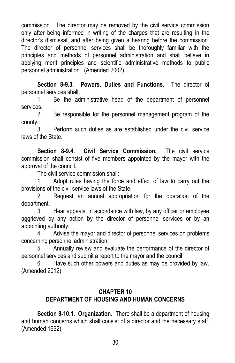commission. The director may be removed by the civil service commission only after being informed in writing of the charges that are resulting in the director's dismissal, and after being given a hearing before the commission. The director of personnel services shall be thoroughly familiar with the principles and methods of personnel administration and shall believe in applying merit principles and scientific administrative methods to public personnel administration. (Amended 2002)

**Section 8-9.3. Powers, Duties and Functions.** The director of personnel services shall:

1. Be the administrative head of the department of personnel services.

2. Be responsible for the personnel management program of the county.

3. Perform such duties as are established under the civil service laws of the State.

**Section 8-9.4. Civil Service Commission.** The civil service commission shall consist of five members appointed by the mayor with the approval of the council.

The civil service commission shall:

1. Adopt rules having the force and effect of law to carry out the provisions of the civil service laws of the State.

2. Request an annual appropriation for the operation of the department.

3. Hear appeals, in accordance with law, by any officer or employee aggrieved by any action by the director of personnel services or by an appointing authority.

4. Advise the mayor and director of personnel services on problems concerning personnel administration.

5. Annually review and evaluate the performance of the director of personnel services and submit a report to the mayor and the council.

6. Have such other powers and duties as may be provided by law. (Amended 2012)

#### **CHAPTER 10 DEPARTMENT OF HOUSING AND HUMAN CONCERNS**

**Section 8-10.1. Organization.** There shall be a department of housing and human concerns which shall consist of a director and the necessary staff. (Amended 1992)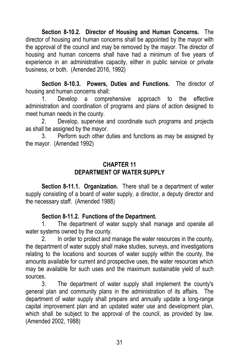**Section 8-10.2. Director of Housing and Human Concerns.** The director of housing and human concerns shall be appointed by the mayor with the approval of the council and may be removed by the mayor. The director of housing and human concerns shall have had a minimum of five years of experience in an administrative capacity, either in public service or private business, or both. (Amended 2016, 1992)

**Section 8-10.3. Powers, Duties and Functions.** The director of housing and human concerns shall:

1. Develop a comprehensive approach to the effective administration and coordination of programs and plans of action designed to meet human needs in the county.

2. Develop, supervise and coordinate such programs and projects as shall be assigned by the mayor.

3. Perform such other duties and functions as may be assigned by the mayor. (Amended 1992)

## **CHAPTER 11 DEPARTMENT OF WATER SUPPLY**

**Section 8-11.1. Organization.** There shall be a department of water supply consisting of a board of water supply, a director, a deputy director and the necessary staff. (Amended 1988)

# **Section 8-11.2. Functions of the Department.**

1. The department of water supply shall manage and operate all water systems owned by the county.

2. In order to protect and manage the water resources in the county, the department of water supply shall make studies, surveys, and investigations relating to the locations and sources of water supply within the county, the amounts available for current and prospective uses, the water resources which may be available for such uses and the maximum sustainable yield of such sources.

3. The department of water supply shall implement the county's general plan and community plans in the administration of its affairs. The department of water supply shall prepare and annually update a long-range capital improvement plan and an updated water use and development plan, which shall be subject to the approval of the council, as provided by law. (Amended 2002, 1988)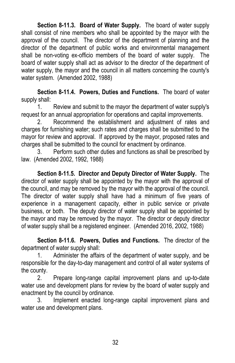**Section 8-11.3. Board of Water Supply.** The board of water supply shall consist of nine members who shall be appointed by the mayor with the approval of the council. The director of the department of planning and the director of the department of public works and environmental management shall be non-voting ex-officio members of the board of water supply. The board of water supply shall act as advisor to the director of the department of water supply, the mayor and the council in all matters concerning the county's water system. (Amended 2002, 1988)

**Section 8-11.4. Powers, Duties and Functions.** The board of water supply shall:

1. Review and submit to the mayor the department of water supply's request for an annual appropriation for operations and capital improvements.

2. Recommend the establishment and adjustment of rates and charges for furnishing water; such rates and charges shall be submitted to the mayor for review and approval. If approved by the mayor, proposed rates and charges shall be submitted to the council for enactment by ordinance.

3. Perform such other duties and functions as shall be prescribed by law. (Amended 2002, 1992, 1988)

**Section 8-11.5. Director and Deputy Director of Water Supply.** The director of water supply shall be appointed by the mayor with the approval of the council, and may be removed by the mayor with the approval of the council. The director of water supply shall have had a minimum of five years of experience in a management capacity, either in public service or private business, or both. The deputy director of water supply shall be appointed by the mayor and may be removed by the mayor. The director or deputy director of water supply shall be a registered engineer. (Amended 2016, 2002, 1988)

**Section 8-11.6. Powers, Duties and Functions.** The director of the department of water supply shall:

1. Administer the affairs of the department of water supply, and be responsible for the day-to-day management and control of all water systems of the county.

2. Prepare long-range capital improvement plans and up-to-date water use and development plans for review by the board of water supply and enactment by the council by ordinance.

3. Implement enacted long-range capital improvement plans and water use and development plans.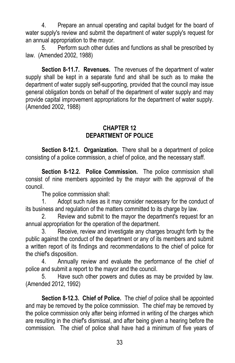4. Prepare an annual operating and capital budget for the board of water supply's review and submit the department of water supply's request for an annual appropriation to the mayor.

5. Perform such other duties and functions as shall be prescribed by law. (Amended 2002, 1988)

**Section 8-11.7. Revenues.** The revenues of the department of water supply shall be kept in a separate fund and shall be such as to make the department of water supply self-supporting, provided that the council may issue general obligation bonds on behalf of the department of water supply and may provide capital improvement appropriations for the department of water supply. (Amended 2002, 1988)

#### **CHAPTER 12 DEPARTMENT OF POLICE**

**Section 8-12.1. Organization.** There shall be a department of police consisting of a police commission, a chief of police, and the necessary staff.

**Section 8-12.2. Police Commission.** The police commission shall consist of nine members appointed by the mayor with the approval of the council.

The police commission shall:

1. Adopt such rules as it may consider necessary for the conduct of its business and regulation of the matters committed to its charge by law.

2. Review and submit to the mayor the department's request for an annual appropriation for the operation of the department.

3. Receive, review and investigate any charges brought forth by the public against the conduct of the department or any of its members and submit a written report of its findings and recommendations to the chief of police for the chief's disposition.

4. Annually review and evaluate the performance of the chief of police and submit a report to the mayor and the council.

5. Have such other powers and duties as may be provided by law. (Amended 2012, 1992)

**Section 8-12.3. Chief of Police.** The chief of police shall be appointed and may be removed by the police commission. The chief may be removed by the police commission only after being informed in writing of the charges which are resulting in the chief's dismissal, and after being given a hearing before the commission. The chief of police shall have had a minimum of five years of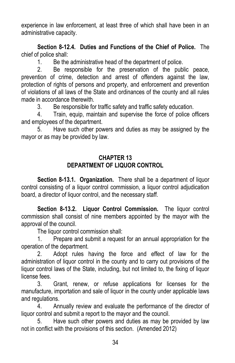experience in law enforcement, at least three of which shall have been in an administrative capacity.

**Section 8-12.4. Duties and Functions of the Chief of Police.** The chief of police shall:

1. Be the administrative head of the department of police.

2. Be responsible for the preservation of the public peace, prevention of crime, detection and arrest of offenders against the law, protection of rights of persons and property, and enforcement and prevention of violations of all laws of the State and ordinances of the county and all rules made in accordance therewith.

3. Be responsible for traffic safety and traffic safety education.

4. Train, equip, maintain and supervise the force of police officers and employees of the department.

5. Have such other powers and duties as may be assigned by the mayor or as may be provided by law.

# **CHAPTER 13 DEPARTMENT OF LIQUOR CONTROL**

**Section 8-13.1. Organization.** There shall be a department of liquor control consisting of a liquor control commission, a liquor control adjudication board, a director of liquor control, and the necessary staff.

**Section 8-13.2. Liquor Control Commission.** The liquor control commission shall consist of nine members appointed by the mayor with the approval of the council.

The liquor control commission shall:

1. Prepare and submit a request for an annual appropriation for the operation of the department.

2. Adopt rules having the force and effect of law for the administration of liquor control in the county and to carry out provisions of the liquor control laws of the State, including, but not limited to, the fixing of liquor license fees.

3. Grant, renew, or refuse applications for licenses for the manufacture, importation and sale of liquor in the county under applicable laws and regulations.

4. Annually review and evaluate the performance of the director of liquor control and submit a report to the mayor and the council.

5. Have such other powers and duties as may be provided by law not in conflict with the provisions of this section. (Amended 2012)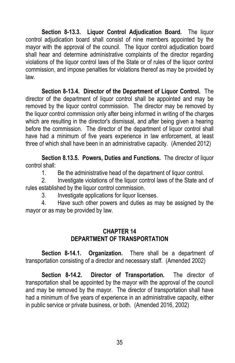**Section 8-13.3. Liquor Control Adjudication Board.** The liquor control adjudication board shall consist of nine members appointed by the mayor with the approval of the council. The liquor control adjudication board shall hear and determine administrative complaints of the director regarding violations of the liquor control laws of the State or of rules of the liquor control commission, and impose penalties for violations thereof as may be provided by law.

**Section 8-13.4. Director of the Department of Liquor Control.** The director of the department of liquor control shall be appointed and may be removed by the liquor control commission. The director may be removed by the liquor control commission only after being informed in writing of the charges which are resulting in the director's dismissal, and after being given a hearing before the commission. The director of the department of liquor control shall have had a minimum of five years experience in law enforcement, at least three of which shall have been in an administrative capacity. (Amended 2012)

**Section 8.13.5. Powers, Duties and Functions.** The director of liquor control shall:

1. Be the administrative head of the department of liquor control.

2. Investigate violations of the liquor control laws of the State and of rules established by the liquor control commission.

3. Investigate applications for liquor licenses.

4. Have such other powers and duties as may be assigned by the mayor or as may be provided by law.

#### **CHAPTER 14 DEPARTMENT OF TRANSPORTATION**

**Section 8-14.1. Organization.** There shall be a department of transportation consisting of a director and necessary staff. (Amended 2002)

**Section 8-14.2. Director of Transportation.** The director of transportation shall be appointed by the mayor with the approval of the council and may be removed by the mayor. The director of transportation shall have had a minimum of five years of experience in an administrative capacity, either in public service or private business, or both. (Amended 2016, 2002)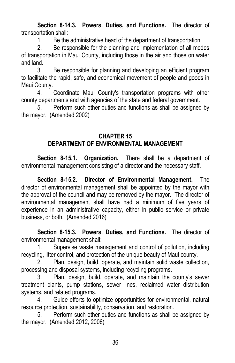**Section 8-14.3. Powers, Duties, and Functions.** The director of transportation shall:

1. Be the administrative head of the department of transportation.

2. Be responsible for the planning and implementation of all modes of transportation in Maui County, including those in the air and those on water and land.

3. Be responsible for planning and developing an efficient program to facilitate the rapid, safe, and economical movement of people and goods in Maui County.

4. Coordinate Maui County's transportation programs with other county departments and with agencies of the state and federal government.

5. Perform such other duties and functions as shall be assigned by the mayor. (Amended 2002)

#### **CHAPTER 15 DEPARTMENT OF ENVIRONMENTAL MANAGEMENT**

**Section 8-15.1. Organization.** There shall be a department of environmental management consisting of a director and the necessary staff.

**Section 8-15.2. Director of Environmental Management.** The director of environmental management shall be appointed by the mayor with the approval of the council and may be removed by the mayor. The director of environmental management shall have had a minimum of five years of experience in an administrative capacity, either in public service or private business, or both. (Amended 2016)

**Section 8-15.3. Powers, Duties, and Functions.** The director of environmental management shall:

1. Supervise waste management and control of pollution, including recycling, litter control, and protection of the unique beauty of Maui county.

2. Plan, design, build, operate, and maintain solid waste collection, processing and disposal systems, including recycling programs.

3. Plan, design, build, operate, and maintain the county's sewer treatment plants, pump stations, sewer lines, reclaimed water distribution systems, and related programs.

4. Guide efforts to optimize opportunities for environmental, natural resource protection, sustainability, conservation, and restoration.

5. Perform such other duties and functions as shall be assigned by the mayor. (Amended 2012, 2006)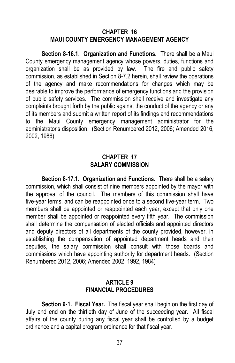#### **CHAPTER 16 MAUI COUNTY EMERGENCY MANAGEMENT AGENCY**

**Section 8-16.1. Organization and Functions.** There shall be a Maui County emergency management agency whose powers, duties, functions and organization shall be as provided by law. The fire and public safety commission, as established in Section 8-7.2 herein, shall review the operations of the agency and make recommendations for changes which may be desirable to improve the performance of emergency functions and the provision of public safety services. The commission shall receive and investigate any complaints brought forth by the public against the conduct of the agency or any of its members and submit a written report of its findings and recommendations to the Maui County emergency management administrator for the administrator's disposition. (Section Renumbered 2012, 2006; Amended 2016, 2002, 1986)

#### **CHAPTER 17 SALARY COMMISSION**

**Section 8-17.1. Organization and Functions.** There shall be a salary commission, which shall consist of nine members appointed by the mayor with the approval of the council. The members of this commission shall have five-year terms, and can be reappointed once to a second five-year term. Two members shall be appointed or reappointed each year, except that only one member shall be appointed or reappointed every fifth year. The commission shall determine the compensation of elected officials and appointed directors and deputy directors of all departments of the county provided, however, in establishing the compensation of appointed department heads and their deputies, the salary commission shall consult with those boards and commissions which have appointing authority for department heads. (Section Renumbered 2012, 2006; Amended 2002, 1992, 1984)

#### **ARTICLE 9 FINANCIAL PROCEDURES**

**Section 9-1. Fiscal Year.** The fiscal year shall begin on the first day of July and end on the thirtieth day of June of the succeeding year. All fiscal affairs of the county during any fiscal year shall be controlled by a budget ordinance and a capital program ordinance for that fiscal year.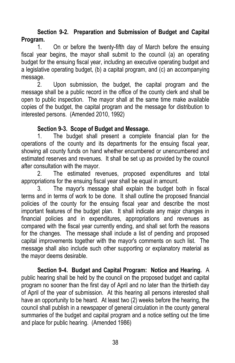# **Section 9-2. Preparation and Submission of Budget and Capital Program.**

1. On or before the twenty-fifth day of March before the ensuing fiscal year begins, the mayor shall submit to the council (a) an operating budget for the ensuing fiscal year, including an executive operating budget and a legislative operating budget, (b) a capital program, and (c) an accompanying message.

2. Upon submission, the budget, the capital program and the message shall be a public record in the office of the county clerk and shall be open to public inspection. The mayor shall at the same time make available copies of the budget, the capital program and the message for distribution to interested persons. (Amended 2010, 1992)

# **Section 9-3. Scope of Budget and Message.**

1. The budget shall present a complete financial plan for the operations of the county and its departments for the ensuing fiscal year, showing all county funds on hand whether encumbered or unencumbered and estimated reserves and revenues. It shall be set up as provided by the council after consultation with the mayor.

2. The estimated revenues, proposed expenditures and total appropriations for the ensuing fiscal year shall be equal in amount.

3. The mayor's message shall explain the budget both in fiscal terms and in terms of work to be done. It shall outline the proposed financial policies of the county for the ensuing fiscal year and describe the most important features of the budget plan. It shall indicate any major changes in financial policies and in expenditures, appropriations and revenues as compared with the fiscal year currently ending, and shall set forth the reasons for the changes. The message shall include a list of pending and proposed capital improvements together with the mayor's comments on such list. The message shall also include such other supporting or explanatory material as the mayor deems desirable.

**Section 9-4. Budget and Capital Program: Notice and Hearing.** A public hearing shall be held by the council on the proposed budget and capital program no sooner than the first day of April and no later than the thirtieth day of April of the year of submission. At this hearing all persons interested shall have an opportunity to be heard. At least two (2) weeks before the hearing, the council shall publish in a newspaper of general circulation in the county general summaries of the budget and capital program and a notice setting out the time and place for public hearing. (Amended 1986)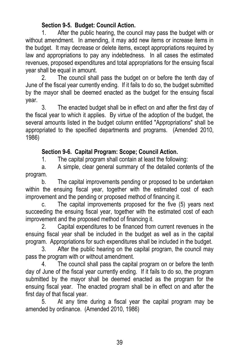# **Section 9-5. Budget: Council Action.**

1. After the public hearing, the council may pass the budget with or without amendment. In amending, it may add new items or increase items in the budget. It may decrease or delete items, except appropriations required by law and appropriations to pay any indebtedness. In all cases the estimated revenues, proposed expenditures and total appropriations for the ensuing fiscal year shall be equal in amount.

2. The council shall pass the budget on or before the tenth day of June of the fiscal year currently ending. If it fails to do so, the budget submitted by the mayor shall be deemed enacted as the budget for the ensuing fiscal year.

3. The enacted budget shall be in effect on and after the first day of the fiscal year to which it applies. By virtue of the adoption of the budget, the several amounts listed in the budget column entitled "Appropriations" shall be appropriated to the specified departments and programs. (Amended 2010, 1986)

# **Section 9-6. Capital Program: Scope; Council Action.**

1. The capital program shall contain at least the following:

a. A simple, clear general summary of the detailed contents of the program.

b. The capital improvements pending or proposed to be undertaken within the ensuing fiscal year, together with the estimated cost of each improvement and the pending or proposed method of financing it.

c. The capital improvements proposed for the five (5) years next succeeding the ensuing fiscal year, together with the estimated cost of each improvement and the proposed method of financing it.

2. Capital expenditures to be financed from current revenues in the ensuing fiscal year shall be included in the budget as well as in the capital program. Appropriations for such expenditures shall be included in the budget.

3. After the public hearing on the capital program, the council may pass the program with or without amendment.

4. The council shall pass the capital program on or before the tenth day of June of the fiscal year currently ending. If it fails to do so, the program submitted by the mayor shall be deemed enacted as the program for the ensuing fiscal year. The enacted program shall be in effect on and after the first day of that fiscal year.

5. At any time during a fiscal year the capital program may be amended by ordinance. (Amended 2010, 1986)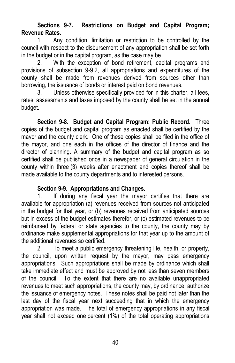# **Sections 9-7. Restrictions on Budget and Capital Program; Revenue Rates.**

1. Any condition, limitation or restriction to be controlled by the council with respect to the disbursement of any appropriation shall be set forth in the budget or in the capital program, as the case may be.

2. With the exception of bond retirement, capital programs and provisions of subsection 9-9.2, all appropriations and expenditures of the county shall be made from revenues derived from sources other than borrowing, the issuance of bonds or interest paid on bond revenues.

3. Unless otherwise specifically provided for in this charter, all fees, rates, assessments and taxes imposed by the county shall be set in the annual budget.

**Section 9-8. Budget and Capital Program: Public Record.** Three copies of the budget and capital program as enacted shall be certified by the mayor and the county clerk. One of these copies shall be filed in the office of the mayor, and one each in the offices of the director of finance and the director of planning. A summary of the budget and capital program as so certified shall be published once in a newspaper of general circulation in the county within three (3) weeks after enactment and copies thereof shall be made available to the county departments and to interested persons.

#### **Section 9-9. Appropriations and Changes.**

1. If during any fiscal year the mayor certifies that there are available for appropriation (a) revenues received from sources not anticipated in the budget for that year, or (b) revenues received from anticipated sources but in excess of the budget estimates therefor, or (c) estimated revenues to be reimbursed by federal or state agencies to the county, the county may by ordinance make supplemental appropriations for that year up to the amount of the additional revenues so certified.

2. To meet a public emergency threatening life, health, or property, the council, upon written request by the mayor, may pass emergency appropriations. Such appropriations shall be made by ordinance which shall take immediate effect and must be approved by not less than seven members of the council. To the extent that there are no available unappropriated revenues to meet such appropriations, the county may, by ordinance, authorize the issuance of emergency notes. These notes shall be paid not later than the last day of the fiscal year next succeeding that in which the emergency appropriation was made. The total of emergency appropriations in any fiscal year shall not exceed one percent (1%) of the total operating appropriations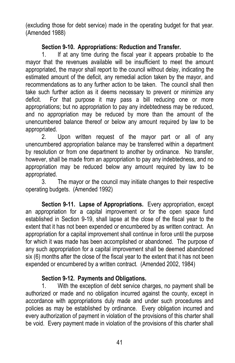(excluding those for debt service) made in the operating budget for that year. (Amended 1988)

## **Section 9-10. Appropriations: Reduction and Transfer.**

1. If at any time during the fiscal year it appears probable to the mayor that the revenues available will be insufficient to meet the amount appropriated, the mayor shall report to the council without delay, indicating the estimated amount of the deficit, any remedial action taken by the mayor, and recommendations as to any further action to be taken. The council shall then take such further action as it deems necessary to prevent or minimize any deficit. For that purpose it may pass a bill reducing one or more appropriations; but no appropriation to pay any indebtedness may be reduced, and no appropriation may be reduced by more than the amount of the unencumbered balance thereof or below any amount required by law to be appropriated.

2. Upon written request of the mayor part or all of any unencumbered appropriation balance may be transferred within a department by resolution or from one department to another by ordinance. No transfer, however, shall be made from an appropriation to pay any indebtedness, and no appropriation may be reduced below any amount required by law to be appropriated.

3. The mayor or the council may initiate changes to their respective operating budgets. (Amended 1992)

**Section 9-11. Lapse of Appropriations.** Every appropriation, except an appropriation for a capital improvement or for the open space fund established in Section 9-19, shall lapse at the close of the fiscal year to the extent that it has not been expended or encumbered by as written contract. An appropriation for a capital improvement shall continue in force until the purpose for which it was made has been accomplished or abandoned. The purpose of any such appropriation for a capital improvement shall be deemed abandoned six (6) months after the close of the fiscal year to the extent that it has not been expended or encumbered by a written contract. (Amended 2002, 1984)

# **Section 9-12. Payments and Obligations.**

1. With the exception of debt service charges, no payment shall be authorized or made and no obligation incurred against the county, except in accordance with appropriations duly made and under such procedures and policies as may be established by ordinance. Every obligation incurred and every authorization of payment in violation of the provisions of this charter shall be void. Every payment made in violation of the provisions of this charter shall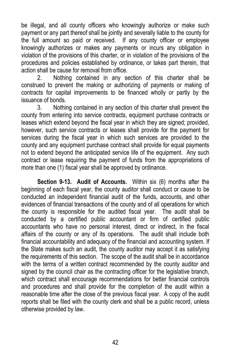be illegal, and all county officers who knowingly authorize or make such payment or any part thereof shall be jointly and severally liable to the county for the full amount so paid or received. If any county officer or employee knowingly authorizes or makes any payments or incurs any obligation in violation of the provisions of this charter, or in violation of the provisions of the procedures and policies established by ordinance, or takes part therein, that action shall be cause for removal from office.

2. Nothing contained in any section of this charter shall be construed to prevent the making or authorizing of payments or making of contracts for capital improvements to be financed wholly or partly by the issuance of bonds.

3. Nothing contained in any section of this charter shall prevent the county from entering into service contracts, equipment purchase contracts or leases which extend beyond the fiscal year in which they are signed; provided, however, such service contracts or leases shall provide for the payment for services during the fiscal year in which such services are provided to the county and any equipment purchase contract shall provide for equal payments not to extend beyond the anticipated service life of the equipment. Any such contract or lease requiring the payment of funds from the appropriations of more than one (1) fiscal year shall be approved by ordinance.

**Section 9-13. Audit of Accounts.** Within six (6) months after the beginning of each fiscal year, the county auditor shall conduct or cause to be conducted an independent financial audit of the funds, accounts, and other evidences of financial transactions of the county and of all operations for which the county is responsible for the audited fiscal year. The audit shall be conducted by a certified public accountant or firm of certified public accountants who have no personal interest, direct or indirect, in the fiscal affairs of the county or any of its operations. The audit shall include both financial accountability and adequacy of the financial and accounting system. If the State makes such an audit, the county auditor may accept it as satisfying the requirements of this section. The scope of the audit shall be in accordance with the terms of a written contract recommended by the county auditor and signed by the council chair as the contracting officer for the legislative branch, which contract shall encourage recommendations for better financial controls and procedures and shall provide for the completion of the audit within a reasonable time after the close of the previous fiscal year. A copy of the audit reports shall be filed with the county clerk and shall be a public record, unless otherwise provided by law.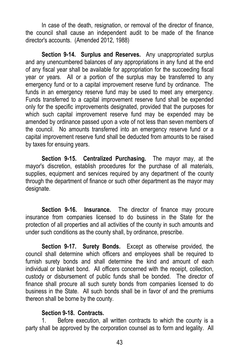In case of the death, resignation, or removal of the director of finance, the council shall cause an independent audit to be made of the finance director's accounts. (Amended 2012, 1988)

**Section 9-14. Surplus and Reserves.** Any unappropriated surplus and any unencumbered balances of any appropriations in any fund at the end of any fiscal year shall be available for appropriation for the succeeding fiscal year or years. All or a portion of the surplus may be transferred to any emergency fund or to a capital improvement reserve fund by ordinance. The funds in an emergency reserve fund may be used to meet any emergency. Funds transferred to a capital improvement reserve fund shall be expended only for the specific improvements designated, provided that the purposes for which such capital improvement reserve fund may be expended may be amended by ordinance passed upon a vote of not less than seven members of the council. No amounts transferred into an emergency reserve fund or a capital improvement reserve fund shall be deducted from amounts to be raised by taxes for ensuing years.

**Section 9-15. Centralized Purchasing.** The mayor may, at the mayor's discretion, establish procedures for the purchase of all materials, supplies, equipment and services required by any department of the county through the department of finance or such other department as the mayor may designate.

**Section 9-16. Insurance.** The director of finance may procure insurance from companies licensed to do business in the State for the protection of all properties and all activities of the county in such amounts and under such conditions as the county shall, by ordinance, prescribe.

**Section 9-17. Surety Bonds.** Except as otherwise provided, the council shall determine which officers and employees shall be required to furnish surety bonds and shall determine the kind and amount of each individual or blanket bond. All officers concerned with the receipt, collection, custody or disbursement of public funds shall be bonded. The director of finance shall procure all such surety bonds from companies licensed to do business in the State. All such bonds shall be in favor of and the premiums thereon shall be borne by the county.

#### **Section 9-18. Contracts.**

1. Before execution, all written contracts to which the county is a party shall be approved by the corporation counsel as to form and legality. All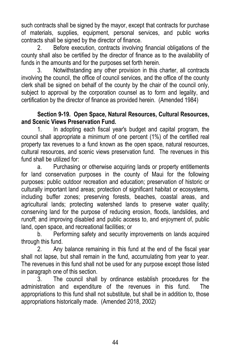such contracts shall be signed by the mayor, except that contracts for purchase of materials, supplies, equipment, personal services, and public works contracts shall be signed by the director of finance.

2. Before execution, contracts involving financial obligations of the county shall also be certified by the director of finance as to the availability of funds in the amounts and for the purposes set forth herein.

3. Notwithstanding any other provision in this charter, all contracts involving the council, the office of council services, and the office of the county clerk shall be signed on behalf of the county by the chair of the council only, subject to approval by the corporation counsel as to form and legality, and certification by the director of finance as provided herein. (Amended 1984)

#### **Section 9-19. Open Space, Natural Resources, Cultural Resources, and Scenic Views Preservation Fund.**

1. In adopting each fiscal year's budget and capital program, the council shall appropriate a minimum of one percent (1%) of the certified real property tax revenues to a fund known as the open space, natural resources, cultural resources, and scenic views preservation fund. The revenues in this fund shall be utilized for:

a. Purchasing or otherwise acquiring lands or property entitlements for land conservation purposes in the county of Maui for the following purposes: public outdoor recreation and education; preservation of historic or culturally important land areas; protection of significant habitat or ecosystems, including buffer zones; preserving forests, beaches, coastal areas, and agricultural lands; protecting watershed lands to preserve water quality; conserving land for the purpose of reducing erosion, floods, landslides, and runoff; and improving disabled and public access to, and enjoyment of, public land, open space, and recreational facilities; or

b. Performing safety and security improvements on lands acquired through this fund.

2. Any balance remaining in this fund at the end of the fiscal year shall not lapse, but shall remain in the fund, accumulating from year to year. The revenues in this fund shall not be used for any purpose except those listed in paragraph one of this section.

3. The council shall by ordinance establish procedures for the administration and expenditure of the revenues in this fund. The appropriations to this fund shall not substitute, but shall be in addition to, those appropriations historically made. (Amended 2018, 2002)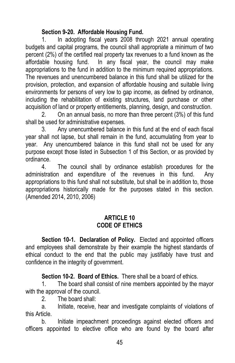# **Section 9-20. Affordable Housing Fund.**

1. In adopting fiscal years 2008 through 2021 annual operating budgets and capital programs, the council shall appropriate a minimum of two percent (2%) of the certified real property tax revenues to a fund known as the affordable housing fund. In any fiscal year, the council may make appropriations to the fund in addition to the minimum required appropriations. The revenues and unencumbered balance in this fund shall be utilized for the provision, protection, and expansion of affordable housing and suitable living environments for persons of very low to gap income, as defined by ordinance, including the rehabilitation of existing structures, land purchase or other acquisition of land or property entitlements, planning, design, and construction.

2. On an annual basis, no more than three percent (3%) of this fund shall be used for administrative expenses.

3. Any unencumbered balance in this fund at the end of each fiscal year shall not lapse, but shall remain in the fund, accumulating from year to year. Any unencumbered balance in this fund shall not be used for any purpose except those listed in Subsection 1 of this Section, or as provided by ordinance.

4. The council shall by ordinance establish procedures for the administration and expenditure of the revenues in this fund. Any appropriations to this fund shall not substitute, but shall be in addition to, those appropriations historically made for the purposes stated in this section. (Amended 2014, 2010, 2006)

#### **ARTICLE 10 CODE OF ETHICS**

**Section 10-1. Declaration of Policy.** Elected and appointed officers and employees shall demonstrate by their example the highest standards of ethical conduct to the end that the public may justifiably have trust and confidence in the integrity of government.

**Section 10-2. Board of Ethics.** There shall be a board of ethics.

1. The board shall consist of nine members appointed by the mayor with the approval of the council.

2. The board shall:

a. Initiate, receive, hear and investigate complaints of violations of this Article.

b. Initiate impeachment proceedings against elected officers and officers appointed to elective office who are found by the board after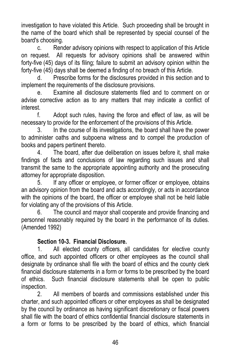investigation to have violated this Article. Such proceeding shall be brought in the name of the board which shall be represented by special counsel of the board's choosing.

c. Render advisory opinions with respect to application of this Article on request. All requests for advisory opinions shall be answered within forty-five (45) days of its filing; failure to submit an advisory opinion within the forty-five (45) days shall be deemed a finding of no breach of this Article.

d. Prescribe forms for the disclosures provided in this section and to implement the requirements of the disclosure provisions.

e. Examine all disclosure statements filed and to comment on or advise corrective action as to any matters that may indicate a conflict of interest.

f. Adopt such rules, having the force and effect of law, as will be necessary to provide for the enforcement of the provisions of this Article.

3. In the course of its investigations, the board shall have the power to administer oaths and subpoena witness and to compel the production of books and papers pertinent thereto.

4. The board, after due deliberation on issues before it, shall make findings of facts and conclusions of law regarding such issues and shall transmit the same to the appropriate appointing authority and the prosecuting attorney for appropriate disposition.

5. If any officer or employee, or former officer or employee, obtains an advisory opinion from the board and acts accordingly, or acts in accordance with the opinions of the board, the officer or employee shall not be held liable for violating any of the provisions of this Article.

6. The council and mayor shall cooperate and provide financing and personnel reasonably required by the board in the performance of its duties. (Amended 1992)

# **Section 10-3. Financial Disclosure.**

1. All elected county officers, all candidates for elective county office, and such appointed officers or other employees as the council shall designate by ordinance shall file with the board of ethics and the county clerk financial disclosure statements in a form or forms to be prescribed by the board of ethics. Such financial disclosure statements shall be open to public inspection.

2. All members of boards and commissions established under this charter, and such appointed officers or other employees as shall be designated by the council by ordinance as having significant discretionary or fiscal powers shall file with the board of ethics confidential financial disclosure statements in a form or forms to be prescribed by the board of ethics, which financial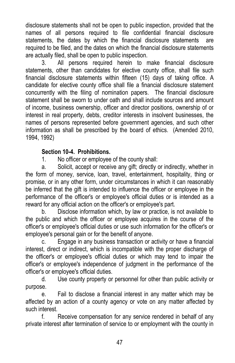disclosure statements shall not be open to public inspection, provided that the names of all persons required to file confidential financial disclosure statements, the dates by which the financial disclosure statements are required to be filed, and the dates on which the financial disclosure statements are actually filed, shall be open to public inspection.

3. All persons required herein to make financial disclosure statements, other than candidates for elective county office, shall file such financial disclosure statements within fifteen (15) days of taking office. A candidate for elective county office shall file a financial disclosure statement concurrently with the filing of nomination papers. The financial disclosure statement shall be sworn to under oath and shall include sources and amount of income, business ownership, officer and director positions, ownership of or interest in real property, debts, creditor interests in insolvent businesses, the names of persons represented before government agencies, and such other information as shall be prescribed by the board of ethics. (Amended 2010, 1994, 1992)

#### **Section 10-4. Prohibitions.**

1. No officer or employee of the county shall:

a. Solicit, accept or receive any gift; directly or indirectly, whether in the form of money, service, loan, travel, entertainment, hospitality, thing or promise, or in any other form, under circumstances in which it can reasonably be inferred that the gift is intended to influence the officer or employee in the performance of the officer's or employee's official duties or is intended as a reward for any official action on the officer's or employee's part.

b. Disclose information which, by law or practice, is not available to the public and which the officer or employee acquires in the course of the officer's or employee's official duties or use such information for the officer's or employee's personal gain or for the benefit of anyone.

c. Engage in any business transaction or activity or have a financial interest, direct or indirect, which is incompatible with the proper discharge of the officer's or employee's official duties or which may tend to impair the officer's or employee's independence of judgment in the performance of the officer's or employee's official duties.

d. Use county property or personnel for other than public activity or purpose.

e. Fail to disclose a financial interest in any matter which may be affected by an action of a county agency or vote on any matter affected by such interest.

f. Receive compensation for any service rendered in behalf of any private interest after termination of service to or employment with the county in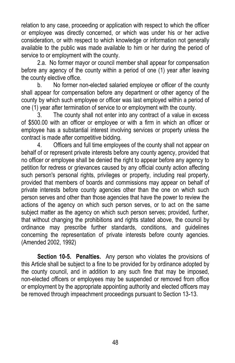relation to any case, proceeding or application with respect to which the officer or employee was directly concerned, or which was under his or her active consideration, or with respect to which knowledge or information not generally available to the public was made available to him or her during the period of service to or employment with the county.

2.a. No former mayor or council member shall appear for compensation before any agency of the county within a period of one (1) year after leaving the county elective office.

b. No former non-elected salaried employee or officer of the county shall appear for compensation before any department or other agency of the county by which such employee or officer was last employed within a period of one (1) year after termination of service to or employment with the county.

3. The county shall not enter into any contract of a value in excess of \$500.00 with an officer or employee or with a firm in which an officer or employee has a substantial interest involving services or property unless the contract is made after competitive bidding.

4. Officers and full time employees of the county shall not appear on behalf of or represent private interests before any county agency, provided that no officer or employee shall be denied the right to appear before any agency to petition for redress or grievances caused by any official county action affecting such person's personal rights, privileges or property, including real property, provided that members of boards and commissions may appear on behalf of private interests before county agencies other than the one on which such person serves and other than those agencies that have the power to review the actions of the agency on which such person serves, or to act on the same subject matter as the agency on which such person serves; provided, further, that without changing the prohibitions and rights stated above, the council by ordinance may prescribe further standards, conditions, and guidelines concerning the representation of private interests before county agencies. (Amended 2002, 1992)

**Section 10-5. Penalties.** Any person who violates the provisions of this Article shall be subject to a fine to be provided for by ordinance adopted by the county council, and in addition to any such fine that may be imposed, non-elected officers or employees may be suspended or removed from office or employment by the appropriate appointing authority and elected officers may be removed through impeachment proceedings pursuant to Section 13-13.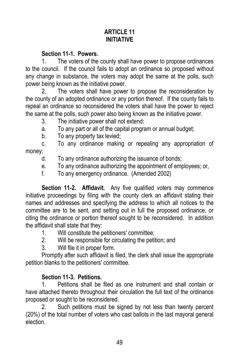# **ARTICLE 11 INITIATIVE**

#### **Section 11-1. Powers.**

1. The voters of the county shall have power to propose ordinances to the council. If the council fails to adopt an ordinance so proposed without any change in substance, the voters may adopt the same at the polls, such power being known as the initiative power.

2. The voters shall have power to propose the reconsideration by the county of an adopted ordinance or any portion thereof. If the county fails to repeal an ordinance so reconsidered the voters shall have the power to reject the same at the polls, such power also being known as the initiative power.

3. The initiative power shall not extend:

a. To any part or all of the capital program or annual budget;

b. To any property tax levied;

c. To any ordinance making or repealing any appropriation of money;

d. To any ordinance authorizing the issuance of bonds;

e. To any ordinance authorizing the appointment of employees; or,

f. To any emergency ordinance. (Amended 2002)

**Section 11-2. Affidavit.** Any five qualified voters may commence initiative proceedings by filing with the county clerk an affidavit stating their names and addresses and specifying the address to which all notices to the committee are to be sent, and setting out in full the proposed ordinance, or citing the ordinance or portion thereof sought to be reconsidered. In addition the affidavit shall state that they:

- 1. Will constitute the petitioners' committee;
- 2. Will be responsible for circulating the petition; and
- 3. Will file it in proper form.

Promptly after such affidavit is filed, the clerk shall issue the appropriate petition blanks to the petitioners' committee.

# **Section 11-3. Petitions.**

1. Petitions shall be filed as one instrument and shall contain or have attached thereto throughout their circulation the full text of the ordinance proposed or sought to be reconsidered.

2. Such petitions must be signed by not less than twenty percent (20%) of the total number of voters who cast ballots in the last mayoral general election.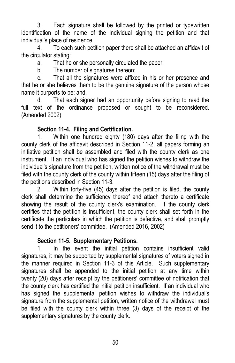3. Each signature shall be followed by the printed or typewritten identification of the name of the individual signing the petition and that individual's place of residence.

4. To each such petition paper there shall be attached an affidavit of the circulator stating:

a. That he or she personally circulated the paper;

b. The number of signatures thereon;

c. That all the signatures were affixed in his or her presence and that he or she believes them to be the genuine signature of the person whose name it purports to be; and,

d. That each signer had an opportunity before signing to read the full text of the ordinance proposed or sought to be reconsidered. (Amended 2002)

# **Section 11-4. Filing and Certification.**

1. Within one hundred eighty (180) days after the filing with the county clerk of the affidavit described in Section 11-2, all papers forming an initiative petition shall be assembled and filed with the county clerk as one instrument. If an individual who has signed the petition wishes to withdraw the individual's signature from the petition, written notice of the withdrawal must be filed with the county clerk of the county within fifteen (15) days after the filing of the petitions described in Section 11-3.

2. Within forty-five (45) days after the petition is filed, the county clerk shall determine the sufficiency thereof and attach thereto a certificate showing the result of the county clerk's examination. If the county clerk certifies that the petition is insufficient, the county clerk shall set forth in the certificate the particulars in which the petition is defective, and shall promptly send it to the petitioners' committee. (Amended 2016, 2002)

# **Section 11-5. Supplementary Petitions.**

1. In the event the initial petition contains insufficient valid signatures, it may be supported by supplemental signatures of voters signed in the manner required in Section 11-3 of this Article. Such supplementary signatures shall be appended to the initial petition at any time within twenty (20) days after receipt by the petitioners' committee of notification that the county clerk has certified the initial petition insufficient. If an individual who has signed the supplemental petition wishes to withdraw the individual's signature from the supplemental petition, written notice of the withdrawal must be filed with the county clerk within three (3) days of the receipt of the supplementary signatures by the county clerk.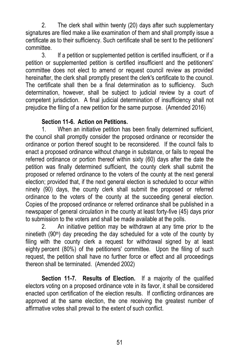2. The clerk shall within twenty (20) days after such supplementary signatures are filed make a like examination of them and shall promptly issue a certificate as to their sufficiency. Such certificate shall be sent to the petitioners' committee.

3. If a petition or supplemented petition is certified insufficient, or if a petition or supplemented petition is certified insufficient and the petitioners' committee does not elect to amend or request council review as provided hereinafter, the clerk shall promptly present the clerk's certificate to the council. The certificate shall then be a final determination as to sufficiency. Such determination, however, shall be subject to judicial review by a court of competent jurisdiction. A final judicial determination of insufficiency shall not prejudice the filing of a new petition for the same purpose. (Amended 2016)

#### **Section 11-6. Action on Petitions.**

1. When an initiative petition has been finally determined sufficient, the council shall promptly consider the proposed ordinance or reconsider the ordinance or portion thereof sought to be reconsidered. If the council fails to enact a proposed ordinance without change in substance, or fails to repeal the referred ordinance or portion thereof within sixty (60) days after the date the petition was finally determined sufficient, the county clerk shall submit the proposed or referred ordinance to the voters of the county at the next general election; provided that, if the next general election is scheduled to occur within ninety (90) days, the county clerk shall submit the proposed or referred ordinance to the voters of the county at the succeeding general election. Copies of the proposed ordinance or referred ordinance shall be published in a newspaper of general circulation in the county at least forty-five (45) days prior to submission to the voters and shall be made available at the polls.

2. An initiative petition may be withdrawn at any time prior to the ninetieth (90<sup>th</sup>) day preceding the day scheduled for a vote of the county by filing with the county clerk a request for withdrawal signed by at least eighty percent (80%) of the petitioners' committee. Upon the filing of such request, the petition shall have no further force or effect and all proceedings thereon shall be terminated. (Amended 2002)

**Section 11-7. Results of Election.** If a majority of the qualified electors voting on a proposed ordinance vote in its favor, it shall be considered enacted upon certification of the election results. If conflicting ordinances are approved at the same election, the one receiving the greatest number of affirmative votes shall prevail to the extent of such conflict.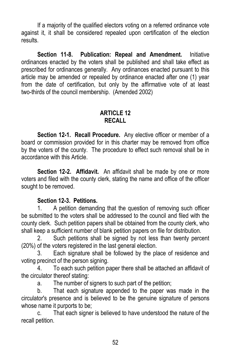If a majority of the qualified electors voting on a referred ordinance vote against it, it shall be considered repealed upon certification of the election results.

**Section 11-8. Publication: Repeal and Amendment.** Initiative ordinances enacted by the voters shall be published and shall take effect as prescribed for ordinances generally. Any ordinances enacted pursuant to this article may be amended or repealed by ordinance enacted after one (1) year from the date of certification, but only by the affirmative vote of at least two-thirds of the council membership. (Amended 2002)

#### **ARTICLE 12 RECALL**

**Section 12-1. Recall Procedure.** Any elective officer or member of a board or commission provided for in this charter may be removed from office by the voters of the county. The procedure to effect such removal shall be in accordance with this Article.

**Section 12-2. Affidavit.** An affidavit shall be made by one or more voters and filed with the county clerk, stating the name and office of the officer sought to be removed.

#### **Section 12-3. Petitions.**

1. A petition demanding that the question of removing such officer be submitted to the voters shall be addressed to the council and filed with the county clerk. Such petition papers shall be obtained from the county clerk, who shall keep a sufficient number of blank petition papers on file for distribution.

2. Such petitions shall be signed by not less than twenty percent (20%) of the voters registered in the last general election.

3. Each signature shall be followed by the place of residence and voting precinct of the person signing.

4. To each such petition paper there shall be attached an affidavit of the circulator thereof stating:

a. The number of signers to such part of the petition;

b. That each signature appended to the paper was made in the circulator's presence and is believed to be the genuine signature of persons whose name it purports to be;

c. That each signer is believed to have understood the nature of the recall petition.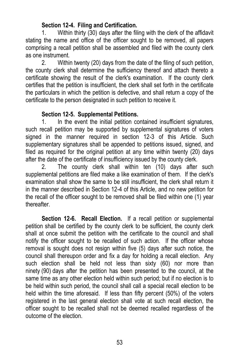#### **Section 12-4. Filing and Certification.**

1. Within thirty (30) days after the filing with the clerk of the affidavit stating the name and office of the officer sought to be removed, all papers comprising a recall petition shall be assembled and filed with the county clerk as one instrument.

2. Within twenty (20) days from the date of the filing of such petition, the county clerk shall determine the sufficiency thereof and attach thereto a certificate showing the result of the clerk's examination. If the county clerk certifies that the petition is insufficient, the clerk shall set forth in the certificate the particulars in which the petition is defective, and shall return a copy of the certificate to the person designated in such petition to receive it.

#### **Section 12-5. Supplemental Petitions.**

1. In the event the initial petition contained insufficient signatures, such recall petition may be supported by supplemental signatures of voters signed in the manner required in section 12-3 of this Article. Such supplementary signatures shall be appended to petitions issued, signed, and filed as required for the original petition at any time within twenty (20) days after the date of the certificate of insufficiency issued by the county clerk.

2. The county clerk shall within ten (10) days after such supplemental petitions are filed make a like examination of them. If the clerk's examination shall show the same to be still insufficient, the clerk shall return it in the manner described in Section 12-4 of this Article, and no new petition for the recall of the officer sought to be removed shall be filed within one (1) year thereafter.

**Section 12-6. Recall Election.** If a recall petition or supplemental petition shall be certified by the county clerk to be sufficient, the county clerk shall at once submit the petition with the certificate to the council and shall notify the officer sought to be recalled of such action. If the officer whose removal is sought does not resign within five (5) days after such notice, the council shall thereupon order and fix a day for holding a recall election. Any such election shall be held not less than sixty (60) nor more than ninety (90) days after the petition has been presented to the council, at the same time as any other election held within such period; but if no election is to be held within such period, the council shall call a special recall election to be held within the time aforesaid. If less than fifty percent (50%) of the voters registered in the last general election shall vote at such recall election, the officer sought to be recalled shall not be deemed recalled regardless of the outcome of the election.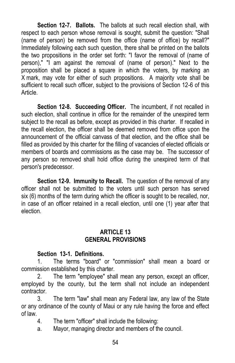**Section 12-7. Ballots.** The ballots at such recall election shall, with respect to each person whose removal is sought, submit the question: "Shall (name of person) be removed from the office (name of office) by recall?" Immediately following each such question, there shall be printed on the ballots the two propositions in the order set forth: "I favor the removal of (name of person)," "I am against the removal of (name of person)." Next to the proposition shall be placed a square in which the voters, by marking an X mark, may vote for either of such propositions. A majority vote shall be sufficient to recall such officer, subject to the provisions of Section 12-6 of this Article.

**Section 12-8. Succeeding Officer.** The incumbent, if not recalled in such election, shall continue in office for the remainder of the unexpired term subject to the recall as before, except as provided in this charter. If recalled in the recall election, the officer shall be deemed removed from office upon the announcement of the official canvass of that election, and the office shall be filled as provided by this charter for the filling of vacancies of elected officials or members of boards and commissions as the case may be. The successor of any person so removed shall hold office during the unexpired term of that person's predecessor.

**Section 12-9. Immunity to Recall.** The question of the removal of any officer shall not be submitted to the voters until such person has served six (6) months of the term during which the officer is sought to be recalled, nor, in case of an officer retained in a recall election, until one (1) year after that election.

#### **ARTICLE 13 GENERAL PROVISIONS**

#### **Section 13-1. Definitions.**

1. The terms "board" or "commission" shall mean a board or commission established by this charter.

2. The term "employee" shall mean any person, except an officer, employed by the county, but the term shall not include an independent contractor.

3. The term "law" shall mean any Federal law, any law of the State or any ordinance of the county of Maui or any rule having the force and effect of law.

- 4. The term "officer" shall include the following:
- a. Mayor, managing director and members of the council.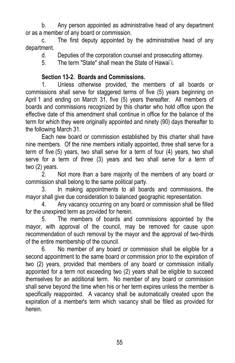b. Any person appointed as administrative head of any department or as a member of any board or commission.

c. The first deputy appointed by the administrative head of any department.

d. Deputies of the corporation counsel and prosecuting attorney.

5. The term "State" shall mean the State of Hawai`i.

# **Section 13-2. Boards and Commissions.**

1. Unless otherwise provided, the members of all boards or commissions shall serve for staggered terms of five (5) years beginning on April 1 and ending on March 31, five (5) years thereafter. All members of boards and commissions recognized by this charter who hold office upon the effective date of this amendment shall continue in office for the balance of the term for which they were originally appointed and ninety (90) days thereafter to the following March 31.

Each new board or commission established by this charter shall have nine members. Of the nine members initially appointed, three shall serve for a term of five (5) years, two shall serve for a term of four (4) years, two shall serve for a term of three (3) years and two shall serve for a term of two (2) years.

2. Not more than a bare majority of the members of any board or commission shall belong to the same political party.

3. In making appointments to all boards and commissions, the mayor shall give due consideration to balanced geographic representation.

4. Any vacancy occurring on any board or commission shall be filled for the unexpired term as provided for herein.

5. The members of boards and commissions appointed by the mayor, with approval of the council, may be removed for cause upon recommendation of such removal by the mayor and the approval of two-thirds of the entire membership of the council.

6. No member of any board or commission shall be eligible for a second appointment to the same board or commission prior to the expiration of two (2) years, provided that members of any board or commission initially appointed for a term not exceeding two (2) years shall be eligible to succeed themselves for an additional term. No member of any board or commission shall serve beyond the time when his or her term expires unless the member is specifically reappointed. A vacancy shall be automatically created upon the expiration of a member's term which vacancy shall be filled as provided for herein.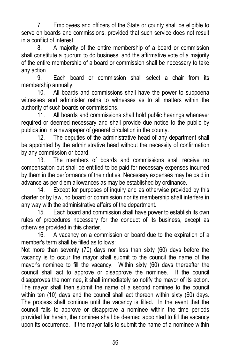7. Employees and officers of the State or county shall be eligible to serve on boards and commissions, provided that such service does not result in a conflict of interest.

8. A majority of the entire membership of a board or commission shall constitute a quorum to do business, and the affirmative vote of a majority of the entire membership of a board or commission shall be necessary to take any action.

9. Each board or commission shall select a chair from its membership annually.

10. All boards and commissions shall have the power to subpoena witnesses and administer oaths to witnesses as to all matters within the authority of such boards or commissions.

11. All boards and commissions shall hold public hearings whenever required or deemed necessary and shall provide due notice to the public by publication in a newspaper of general circulation in the county.

12. The deputies of the administrative head of any department shall be appointed by the administrative head without the necessity of confirmation by any commission or board.

13. The members of boards and commissions shall receive no compensation but shall be entitled to be paid for necessary expenses incurred by them in the performance of their duties. Necessary expenses may be paid in advance as per diem allowances as may be established by ordinance.

14. Except for purposes of inquiry and as otherwise provided by this charter or by law, no board or commission nor its membership shall interfere in any way with the administrative affairs of the department.

15. Each board and commission shall have power to establish its own rules of procedures necessary for the conduct of its business, except as otherwise provided in this charter.

16. A vacancy on a commission or board due to the expiration of a member's term shall be filled as follows:

Not more than seventy (70) days nor less than sixty (60) days before the vacancy is to occur the mayor shall submit to the council the name of the mayor's nominee to fill the vacancy. Within sixty (60) days thereafter the council shall act to approve or disapprove the nominee. If the council disapproves the nominee, it shall immediately so notify the mayor of its action. The mayor shall then submit the name of a second nominee to the council within ten (10) days and the council shall act thereon within sixty (60) days. The process shall continue until the vacancy is filled. In the event that the council fails to approve or disapprove a nominee within the time periods provided for herein, the nominee shall be deemed appointed to fill the vacancy upon its occurrence. If the mayor fails to submit the name of a nominee within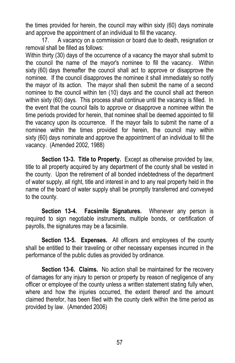the times provided for herein, the council may within sixty (60) days nominate and approve the appointment of an individual to fill the vacancy.

17. A vacancy on a commission or board due to death, resignation or removal shall be filled as follows:

Within thirty (30) days of the occurrence of a vacancy the mayor shall submit to the council the name of the mayor's nominee to fill the vacancy. Within sixty (60) days thereafter the council shall act to approve or disapprove the nominee. If the council disapproves the nominee it shall immediately so notify the mayor of its action. The mayor shall then submit the name of a second nominee to the council within ten (10) days and the council shall act thereon within sixty (60) days. This process shall continue until the vacancy is filled. In the event that the council fails to approve or disapprove a nominee within the time periods provided for herein, that nominee shall be deemed appointed to fill the vacancy upon its occurrence. If the mayor fails to submit the name of a nominee within the times provided for herein, the council may within sixty (60) days nominate and approve the appointment of an individual to fill the vacancy. (Amended 2002, 1988)

**Section 13-3. Title to Property.** Except as otherwise provided by law, title to all property acquired by any department of the county shall be vested in the county. Upon the retirement of all bonded indebtedness of the department of water supply, all right, title and interest in and to any real property held in the name of the board of water supply shall be promptly transferred and conveyed to the county.

**Section 13-4. Facsimile Signatures.** Whenever any person is required to sign negotiable instruments, multiple bonds, or certification of payrolls, the signatures may be a facsimile.

**Section 13-5. Expenses.** All officers and employees of the county shall be entitled to their traveling or other necessary expenses incurred in the performance of the public duties as provided by ordinance.

**Section 13-6. Claims.** No action shall be maintained for the recovery of damages for any injury to person or property by reason of negligence of any officer or employee of the county unless a written statement stating fully when, where and how the injuries occurred, the extent thereof and the amount claimed therefor, has been filed with the county clerk within the time period as provided by law. (Amended 2006)

57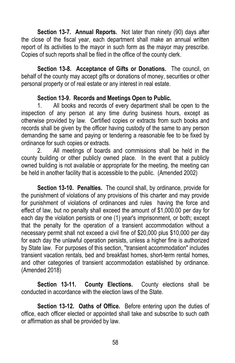**Section 13-7. Annual Reports.** Not later than ninety (90) days after the close of the fiscal year, each department shall make an annual written report of its activities to the mayor in such form as the mayor may prescribe. Copies of such reports shall be filed in the office of the county clerk.

**Section 13-8. Acceptance of Gifts or Donations.** The council, on behalf of the county may accept gifts or donations of money, securities or other personal property or of real estate or any interest in real estate.

#### **Section 13-9. Records and Meetings Open to Public.**

1. All books and records of every department shall be open to the inspection of any person at any time during business hours, except as otherwise provided by law. Certified copies or extracts from such books and records shall be given by the officer having custody of the same to any person demanding the same and paying or tendering a reasonable fee to be fixed by ordinance for such copies or extracts.

2. All meetings of boards and commissions shall be held in the county building or other publicly owned place. In the event that a publicly owned building is not available or appropriate for the meeting, the meeting can be held in another facility that is accessible to the public. (Amended 2002)

**Section 13-10. Penalties.** The council shall, by ordinance, provide for the punishment of violations of any provisions of this charter and may provide for punishment of violations of ordinances and rules having the force and effect of law, but no penalty shall exceed the amount of \$1,000.00 per day for each day the violation persists or one (1) year's imprisonment, or both; except that the penalty for the operation of a transient accommodation without a necessary permit shall not exceed a civil fine of \$20,000 plus \$10,000 per day for each day the unlawful operation persists, unless a higher fine is authorized by State law. For purposes of this section, "transient accommodation" includes transient vacation rentals, bed and breakfast homes, short-term rental homes, and other categories of transient accommodation established by ordinance. (Amended 2018)

**Section 13-11. County Elections.** County elections shall be conducted in accordance with the election laws of the State.

**Section 13-12. Oaths of Office.** Before entering upon the duties of office, each officer elected or appointed shall take and subscribe to such oath or affirmation as shall be provided by law.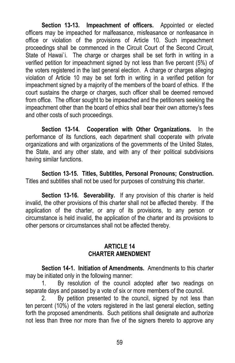**Section 13-13. Impeachment of officers.** Appointed or elected officers may be impeached for malfeasance, misfeasance or nonfeasance in office or violation of the provisions of Article 10. Such impeachment proceedings shall be commenced in the Circuit Court of the Second Circuit, State of Hawai'i. The charge or charges shall be set forth in writing in a verified petition for impeachment signed by not less than five percent (5%) of the voters registered in the last general election. A charge or charges alleging violation of Article 10 may be set forth in writing in a verified petition for impeachment signed by a majority of the members of the board of ethics. If the court sustains the charge or charges, such officer shall be deemed removed from office. The officer sought to be impeached and the petitioners seeking the impeachment other than the board of ethics shall bear their own attorney's fees and other costs of such proceedings.

**Section 13-14. Cooperation with Other Organizations.** In the performance of its functions, each department shall cooperate with private organizations and with organizations of the governments of the United States, the State, and any other state, and with any of their political subdivisions having similar functions.

**Section 13-15. Titles, Subtitles, Personal Pronouns; Construction.** Titles and subtitles shall not be used for purposes of construing this charter.

**Section 13-16. Severability.** If any provision of this charter is held invalid, the other provisions of this charter shall not be affected thereby. If the application of the charter, or any of its provisions, to any person or circumstance is held invalid, the application of the charter and its provisions to other persons or circumstances shall not be affected thereby.

#### **ARTICLE 14 CHARTER AMENDMENT**

**Section 14-1. Initiation of Amendments.** Amendments to this charter may be initiated only in the following manner:

1. By resolution of the council adopted after two readings on separate days and passed by a vote of six or more members of the council.

2. By petition presented to the council, signed by not less than ten percent (10%) of the voters registered in the last general election, setting forth the proposed amendments. Such petitions shall designate and authorize not less than three nor more than five of the signers thereto to approve any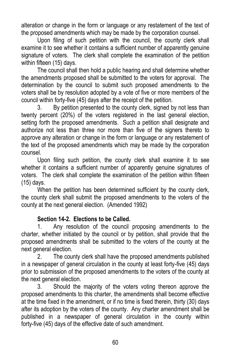alteration or change in the form or language or any restatement of the text of the proposed amendments which may be made by the corporation counsel.

Upon filing of such petition with the council, the county clerk shall examine it to see whether it contains a sufficient number of apparently genuine signature of voters. The clerk shall complete the examination of the petition within fifteen (15) days.

The council shall then hold a public hearing and shall determine whether the amendments proposed shall be submitted to the voters for approval. The determination by the council to submit such proposed amendments to the voters shall be by resolution adopted by a vote of five or more members of the council within forty-five (45) days after the receipt of the petition.

3. By petition presented to the county clerk, signed by not less than twenty percent (20%) of the voters registered in the last general election, setting forth the proposed amendments. Such a petition shall designate and authorize not less than three nor more than five of the signers thereto to approve any alteration or change in the form or language or any restatement of the text of the proposed amendments which may be made by the corporation counsel.

Upon filing such petition, the county clerk shall examine it to see whether it contains a sufficient number of apparently genuine signatures of voters. The clerk shall complete the examination of the petition within fifteen (15) days.

When the petition has been determined sufficient by the county clerk, the county clerk shall submit the proposed amendments to the voters of the county at the next general election. (Amended 1992)

#### **Section 14-2. Elections to be Called.**

1. Any resolution of the council proposing amendments to the charter, whether initiated by the council or by petition, shall provide that the proposed amendments shall be submitted to the voters of the county at the next general election.

2. The county clerk shall have the proposed amendments published in a newspaper of general circulation in the county at least forty-five (45) days prior to submission of the proposed amendments to the voters of the county at the next general election.

3. Should the majority of the voters voting thereon approve the proposed amendments to this charter, the amendments shall become effective at the time fixed in the amendment, or if no time is fixed therein, thirty (30) days after its adoption by the voters of the county. Any charter amendment shall be published in a newspaper of general circulation in the county within forty-five (45) days of the effective date of such amendment.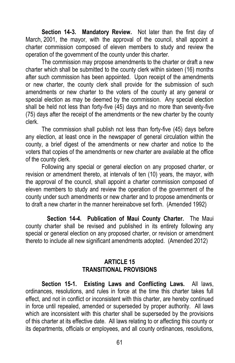**Section 14-3. Mandatory Review.** Not later than the first day of March, 2001, the mayor, with the approval of the council, shall appoint a charter commission composed of eleven members to study and review the operation of the government of the county under this charter.

The commission may propose amendments to the charter or draft a new charter which shall be submitted to the county clerk within sixteen (16) months after such commission has been appointed. Upon receipt of the amendments or new charter, the county clerk shall provide for the submission of such amendments or new charter to the voters of the county at any general or special election as may be deemed by the commission. Any special election shall be held not less than forty-five (45) days and no more than seventy-five (75) days after the receipt of the amendments or the new charter by the county clerk.

The commission shall publish not less than forty-five (45) days before any election, at least once in the newspaper of general circulation within the county, a brief digest of the amendments or new charter and notice to the voters that copies of the amendments or new charter are available at the office of the county clerk.

Following any special or general election on any proposed charter, or revision or amendment thereto, at intervals of ten (10) years, the mayor, with the approval of the council, shall appoint a charter commission composed of eleven members to study and review the operation of the government of the county under such amendments or new charter and to propose amendments or to draft a new charter in the manner hereinabove set forth. (Amended 1992)

**Section 14-4. Publication of Maui County Charter.** The Maui county charter shall be revised and published in its entirety following any special or general election on any proposed charter, or revision or amendment thereto to include all new significant amendments adopted. (Amended 2012)

#### **ARTICLE 15 TRANSITIONAL PROVISIONS**

**Section 15-1. Existing Laws and Conflicting Laws.** All laws, ordinances, resolutions, and rules in force at the time this charter takes full effect, and not in conflict or inconsistent with this charter, are hereby continued in force until repealed, amended or superseded by proper authority. All laws which are inconsistent with this charter shall be superseded by the provisions of this charter at its effective date. All laws relating to or affecting this county or its departments, officials or employees, and all county ordinances, resolutions,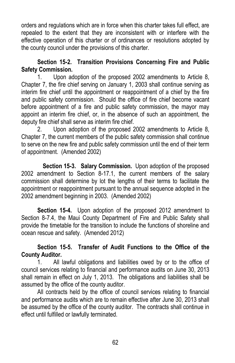orders and regulations which are in force when this charter takes full effect, are repealed to the extent that they are inconsistent with or interfere with the effective operation of this charter or of ordinances or resolutions adopted by the county council under the provisions of this charter.

## **Section 15-2. Transition Provisions Concerning Fire and Public Safety Commission.**

1. Upon adoption of the proposed 2002 amendments to Article 8, Chapter 7, the fire chief serving on January 1, 2003 shall continue serving as interim fire chief until the appointment or reappointment of a chief by the fire and public safety commission. Should the office of fire chief become vacant before appointment of a fire and public safety commission, the mayor may appoint an interim fire chief, or, in the absence of such an appointment, the deputy fire chief shall serve as interim fire chief.

2. Upon adoption of the proposed 2002 amendments to Article 8, Chapter 7, the current members of the public safety commission shall continue to serve on the new fire and public safety commission until the end of their term of appointment. (Amended 2002)

**Section 15-3. Salary Commission.** Upon adoption of the proposed 2002 amendment to Section 8-17.1, the current members of the salary commission shall determine by lot the lengths of their terms to facilitate the appointment or reappointment pursuant to the annual sequence adopted in the 2002 amendment beginning in 2003. (Amended 2002)

**Section 15-4.** Upon adoption of the proposed 2012 amendment to Section 8-7.4, the Maui County Department of Fire and Public Safety shall provide the timetable for the transition to include the functions of shoreline and ocean rescue and safety. (Amended 2012)

# **Section 15-5. Transfer of Audit Functions to the Office of the County Auditor.**

1. All lawful obligations and liabilities owed by or to the office of council services relating to financial and performance audits on June 30, 2013 shall remain in effect on July 1, 2013. The obligations and liabilities shall be assumed by the office of the county auditor.

All contracts held by the office of council services relating to financial and performance audits which are to remain effective after June 30, 2013 shall be assumed by the office of the county auditor. The contracts shall continue in effect until fulfilled or lawfully terminated.